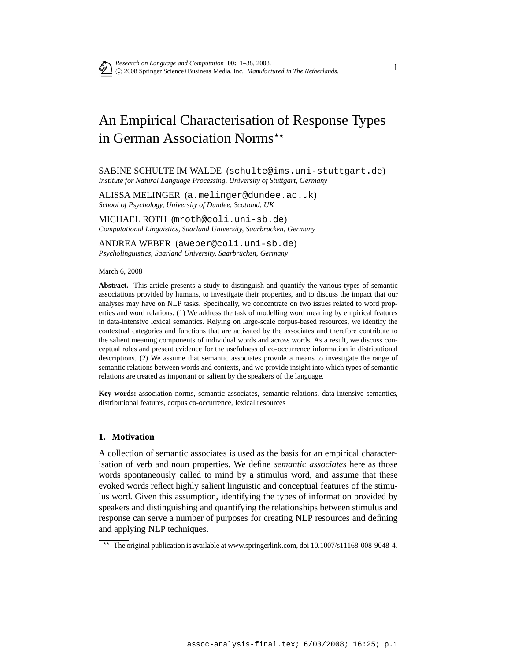# An Empirical Characterisation of Response Types in German Association Norms<sup>\*\*</sup>

SABINE SCHULTE IM WALDE (schulte@ims.uni-stuttgart.de) *Institute for Natural Language Processing, University of Stuttgart, Germany*

ALISSA MELINGER (a.melinger@dundee.ac.uk) *School of Psychology, University of Dundee, Scotland, UK*

MICHAEL ROTH (mroth@coli.uni-sb.de) *Computational Linguistics, Saarland University, Saarbr¨ucken, Germany*

ANDREA WEBER (aweber@coli.uni-sb.de) Psycholinguistics, Saarland University, Saarbrücken, Germany

#### March 6, 2008

**Abstract.** This article presents a study to distinguish and quantify the various types of semantic associations provided by humans, to investigate their properties, and to discuss the impact that our analyses may have on NLP tasks. Specifically, we concentrate on two issues related to word properties and word relations: (1) We address the task of modelling word meaning by empirical features in data-intensive lexical semantics. Relying on large-scale corpus-based resources, we identify the contextual categories and functions that are activated by the associates and therefore contribute to the salient meaning components of individual words and across words. As a result, we discuss conceptual roles and present evidence for the usefulness of co-occurrence information in distributional descriptions. (2) We assume that semantic associates provide a means to investigate the range of semantic relations between words and contexts, and we provide insight into which types of semantic relations are treated as important or salient by the speakers of the language.

**Key words:** association norms, semantic associates, semantic relations, data-intensive semantics, distributional features, corpus co-occurrence, lexical resources

## **1. Motivation**

A collection of semantic associates is used as the basis for an empirical characterisation of verb and noun properties. We define *semantic associates* here as those words spontaneously called to mind by a stimulus word, and assume that these evoked words reflect highly salient linguistic and conceptual features of the stimulus word. Given this assumption, identifying the types of information provided by speakers and distinguishing and quantifying the relationships between stimulus and response can serve a number of purposes for creating NLP resources and defining and applying NLP techniques.

<sup>\*\*</sup> The original publication is available at www.springerlink.com, doi 10.1007/s11168-008-9048-4.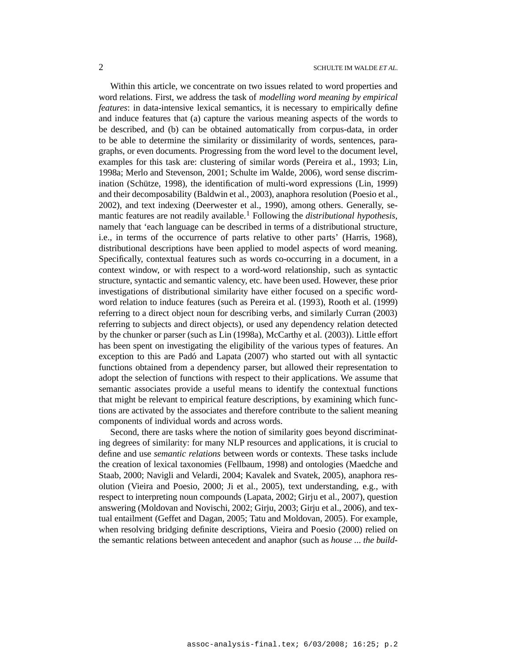Within this article, we concentrate on two issues related to word properties and word relations. First, we address the task of *modelling word meaning by empirical features*: in data-intensive lexical semantics, it is necessary to empirically define and induce features that (a) capture the various meaning aspects of the words to be described, and (b) can be obtained automatically from corpus-data, in order to be able to determine the similarity or dissimilarity of words, sentences, paragraphs, or even documents. Progressing from the word level to the document level, examples for this task are: clustering of similar words (Pereira et al., 1993; Lin, 1998a; Merlo and Stevenson, 2001; Schulte im Walde, 2006), word sense discrimination (Schütze, 1998), the identification of multi-word expressions (Lin, 1999) and their decomposability (Baldwin et al., 2003), anaphora resolution (Poesio et al., 2002), and text indexing (Deerwester et al., 1990), among others. Generally, semantic features are not readily available.<sup>1</sup> Following the *distributional hypothesis*, namely that 'each language can be described in terms of a distributional structure, i.e., in terms of the occurrence of parts relative to other parts' (Harris, 1968), distributional descriptions have been applied to model aspects of word meaning. Specifically, contextual features such as words co-occurring in a document, in a context window, or with respect to a word-word relationship, such as syntactic structure, syntactic and semantic valency, etc. have been used. However, these prior investigations of distributional similarity have either focused on a specific wordword relation to induce features (such as Pereira et al. (1993), Rooth et al. (1999) referring to a direct object noun for describing verbs, and similarly Curran (2003) referring to subjects and direct objects), or used any dependency relation detected by the chunker or parser (such as Lin (1998a), McCarthy et al. (2003)). Little effort has been spent on investigating the eligibility of the various types of features. An exception to this are Padó and Lapata (2007) who started out with all syntactic functions obtained from a dependency parser, but allowed their representation to adopt the selection of functions with respect to their applications. We assume that semantic associates provide a useful means to identify the contextual functions that might be relevant to empirical feature descriptions, by examining which functions are activated by the associates and therefore contribute to the salient meaning components of individual words and across words.

Second, there are tasks where the notion of similarity goes beyond discriminating degrees of similarity: for many NLP resources and applications, it is crucial to define and use *semantic relations* between words or contexts. These tasks include the creation of lexical taxonomies (Fellbaum, 1998) and ontologies (Maedche and Staab, 2000; Navigli and Velardi, 2004; Kavalek and Svatek, 2005), anaphora resolution (Vieira and Poesio, 2000; Ji et al., 2005), text understanding, e.g., with respect to interpreting noun compounds (Lapata, 2002; Girju et al., 2007), question answering (Moldovan and Novischi, 2002; Girju, 2003; Girju et al., 2006), and textual entailment (Geffet and Dagan, 2005; Tatu and Moldovan, 2005). For example, when resolving bridging definite descriptions, Vieira and Poesio (2000) relied on the semantic relations between antecedent and anaphor (such as *house ... the build-*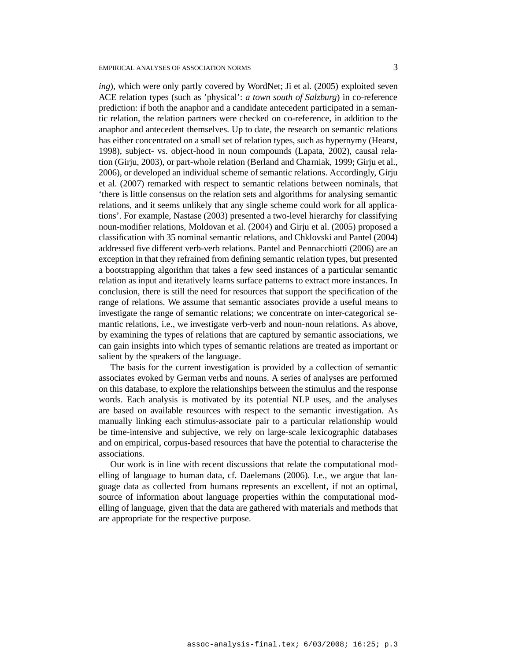*ing*), which were only partly covered by WordNet; Ji et al. (2005) exploited seven ACE relation types (such as 'physical': *a town south of Salzburg*) in co-reference prediction: if both the anaphor and a candidate antecedent participated in a semantic relation, the relation partners were checked on co-reference, in addition to the anaphor and antecedent themselves. Up to date, the research on semantic relations has either concentrated on a small set of relation types, such as hypernymy (Hearst, 1998), subject- vs. object-hood in noun compounds (Lapata, 2002), causal relation (Girju, 2003), or part-whole relation (Berland and Charniak, 1999; Girju et al., 2006), or developed an individual scheme of semantic relations. Accordingly, Girju et al. (2007) remarked with respect to semantic relations between nominals, that 'there is little consensus on the relation sets and algorithms for analysing semantic relations, and it seems unlikely that any single scheme could work for all applications'. For example, Nastase (2003) presented a two-level hierarchy for classifying noun-modifier relations, Moldovan et al. (2004) and Girju et al. (2005) proposed a classification with 35 nominal semantic relations, and Chklovski and Pantel (2004) addressed five different verb-verb relations. Pantel and Pennacchiotti (2006) are an exception in that they refrained from defining semantic relation types, but presented a bootstrapping algorithm that takes a few seed instances of a particular semantic relation as input and iteratively learns surface patterns to extract more instances. In conclusion, there is still the need for resources that support the specification of the range of relations. We assume that semantic associates provide a useful means to investigate the range of semantic relations; we concentrate on inter-categorical semantic relations, i.e., we investigate verb-verb and noun-noun relations. As above, by examining the types of relations that are captured by semantic associations, we can gain insights into which types of semantic relations are treated as important or salient by the speakers of the language.

The basis for the current investigation is provided by a collection of semantic associates evoked by German verbs and nouns. A series of analyses are performed on this database, to explore the relationships between the stimulus and the response words. Each analysis is motivated by its potential NLP uses, and the analyses are based on available resources with respect to the semantic investigation. As manually linking each stimulus-associate pair to a particular relationship would be time-intensive and subjective, we rely on large-scale lexicographic databases and on empirical, corpus-based resources that have the potential to characterise the associations.

Our work is in line with recent discussions that relate the computational modelling of language to human data, cf. Daelemans (2006). I.e., we argue that language data as collected from humans represents an excellent, if not an optimal, source of information about language properties within the computational modelling of language, given that the data are gathered with materials and methods that are appropriate for the respective purpose.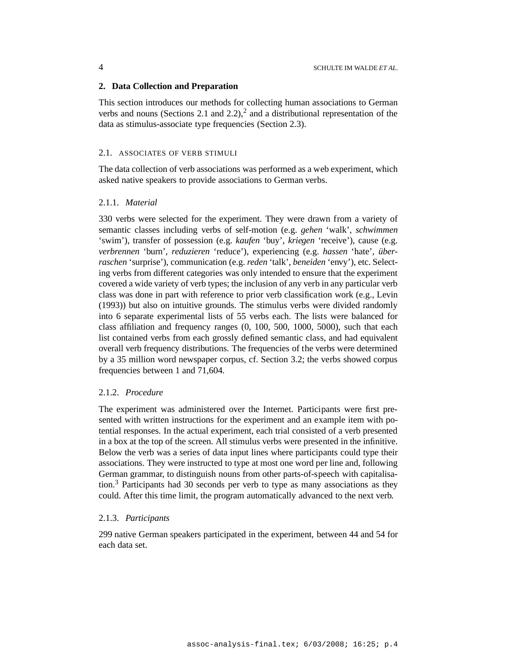## **2. Data Collection and Preparation**

This section introduces our methods for collecting human associations to German verbs and nouns (Sections 2.1 and 2.2),<sup>2</sup> and a distributional representation of the data as stimulus-associate type frequencies (Section 2.3).

## 2.1. ASSOCIATES OF VERB STIMULI

The data collection of verb associations was performed as a web experiment, which asked native speakers to provide associations to German verbs.

# 2.1.1. *Material*

330 verbs were selected for the experiment. They were drawn from a variety of semantic classes including verbs of self-motion (e.g. *gehen* 'walk', *schwimmen* 'swim'), transfer of possession (e.g. *kaufen* 'buy', *kriegen* 'receive'), cause (e.g. *verbrennen* 'burn', *reduzieren* 'reduce'), experiencing (e.g. *hassen* 'hate', *uber- ¨ raschen* 'surprise'), communication (e.g. *reden* 'talk', *beneiden* 'envy'), etc. Selecting verbs from different categories was only intended to ensure that the experiment covered a wide variety of verb types; the inclusion of any verb in any particular verb class was done in part with reference to prior verb classification work (e.g., Levin (1993)) but also on intuitive grounds. The stimulus verbs were divided randomly into 6 separate experimental lists of 55 verbs each. The lists were balanced for class affiliation and frequency ranges (0, 100, 500, 1000, 5000), such that each list contained verbs from each grossly defined semantic class, and had equivalent overall verb frequency distributions. The frequencies of the verbs were determined by a 35 million word newspaper corpus, cf. Section 3.2; the verbs showed corpus frequencies between 1 and 71,604.

## 2.1.2. *Procedure*

The experiment was administered over the Internet. Participants were first presented with written instructions for the experiment and an example item with potential responses. In the actual experiment, each trial consisted of a verb presented in a box at the top of the screen. All stimulus verbs were presented in the infinitive. Below the verb was a series of data input lines where participants could type their associations. They were instructed to type at most one word per line and, following German grammar, to distinguish nouns from other parts-of-speech with capitalisation.<sup>3</sup> Participants had 30 seconds per verb to type as many associations as they could. After this time limit, the program automatically advanced to the next verb.

# 2.1.3. *Participants*

299 native German speakers participated in the experiment, between 44 and 54 for each data set.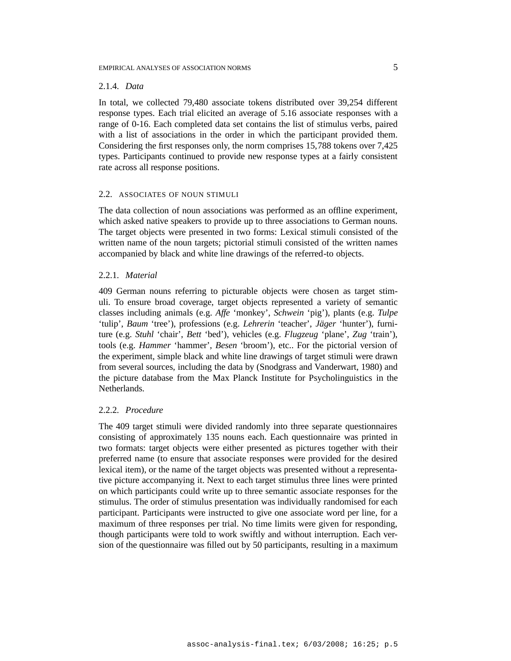## 2.1.4. *Data*

In total, we collected 79,480 associate tokens distributed over 39,254 different response types. Each trial elicited an average of 5.16 associate responses with a range of 0-16. Each completed data set contains the list of stimulus verbs, paired with a list of associations in the order in which the participant provided them. Considering the first responses only, the norm comprises 15,788 tokens over 7,425 types. Participants continued to provide new response types at a fairly consistent rate across all response positions.

## 2.2. ASSOCIATES OF NOUN STIMULI

The data collection of noun associations was performed as an offline experiment, which asked native speakers to provide up to three associations to German nouns. The target objects were presented in two forms: Lexical stimuli consisted of the written name of the noun targets; pictorial stimuli consisted of the written names accompanied by black and white line drawings of the referred-to objects.

## 2.2.1. *Material*

409 German nouns referring to picturable objects were chosen as target stimuli. To ensure broad coverage, target objects represented a variety of semantic classes including animals (e.g. *Affe* 'monkey', *Schwein* 'pig'), plants (e.g. *Tulpe* 'tulip', *Baum* 'tree'), professions (e.g. *Lehrerin* 'teacher', *Jager ¨* 'hunter'), furniture (e.g. *Stuhl* 'chair', *Bett* 'bed'), vehicles (e.g. *Flugzeug* 'plane', *Zug* 'train'), tools (e.g. *Hammer* 'hammer', *Besen* 'broom'), etc.. For the pictorial version of the experiment, simple black and white line drawings of target stimuli were drawn from several sources, including the data by (Snodgrass and Vanderwart, 1980) and the picture database from the Max Planck Institute for Psycholinguistics in the Netherlands.

## 2.2.2. *Procedure*

The 409 target stimuli were divided randomly into three separate questionnaires consisting of approximately 135 nouns each. Each questionnaire was printed in two formats: target objects were either presented as pictures together with their preferred name (to ensure that associate responses were provided for the desired lexical item), or the name of the target objects was presented without a representative picture accompanying it. Next to each target stimulus three lines were printed on which participants could write up to three semantic associate responses for the stimulus. The order of stimulus presentation was individually randomised for each participant. Participants were instructed to give one associate word per line, for a maximum of three responses per trial. No time limits were given for responding, though participants were told to work swiftly and without interruption. Each version of the questionnaire was filled out by 50 participants, resulting in a maximum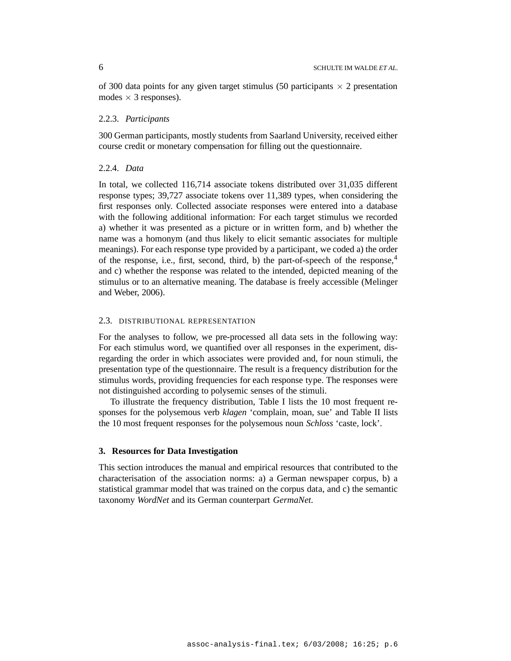of 300 data points for any given target stimulus (50 participants  $\times$  2 presentation modes  $\times$  3 responses).

# 2.2.3. *Participants*

300 German participants, mostly students from Saarland University, received either course credit or monetary compensation for filling out the questionnaire.

## 2.2.4. *Data*

In total, we collected 116,714 associate tokens distributed over 31,035 different response types; 39,727 associate tokens over 11,389 types, when considering the first responses only. Collected associate responses were entered into a database with the following additional information: For each target stimulus we recorded a) whether it was presented as a picture or in written form, and b) whether the name was a homonym (and thus likely to elicit semantic associates for multiple meanings). For each response type provided by a participant, we coded a) the order of the response, i.e., first, second, third, b) the part-of-speech of the response,  $4$ and c) whether the response was related to the intended, depicted meaning of the stimulus or to an alternative meaning. The database is freely accessible (Melinger and Weber, 2006).

# 2.3. DISTRIBUTIONAL REPRESENTATION

For the analyses to follow, we pre-processed all data sets in the following way: For each stimulus word, we quantified over all responses in the experiment, disregarding the order in which associates were provided and, for noun stimuli, the presentation type of the questionnaire. The result is a frequency distribution for the stimulus words, providing frequencies for each response type. The responses were not distinguished according to polysemic senses of the stimuli.

To illustrate the frequency distribution, Table I lists the 10 most frequent responses for the polysemous verb *klagen* 'complain, moan, sue' and Table II lists the 10 most frequent responses for the polysemous noun *Schloss* 'caste, lock'.

## **3. Resources for Data Investigation**

This section introduces the manual and empirical resources that contributed to the characterisation of the association norms: a) a German newspaper corpus, b) a statistical grammar model that was trained on the corpus data, and c) the semantic taxonomy *WordNet* and its German counterpart *GermaNet*.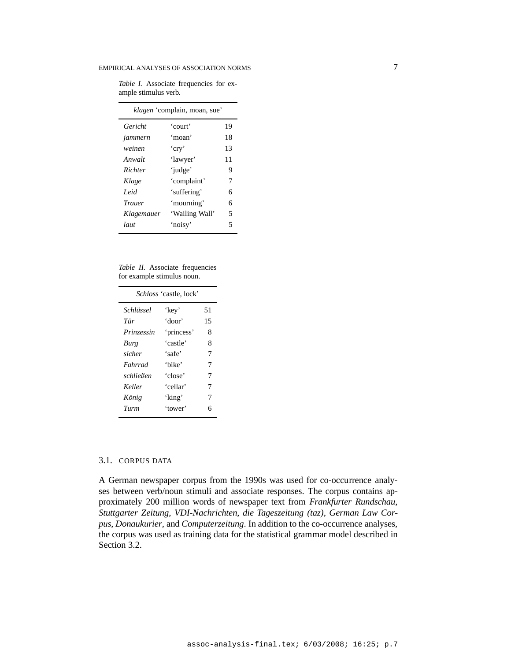|  |                      | <i>Table I.</i> Associate frequencies for ex- |  |
|--|----------------------|-----------------------------------------------|--|
|  | ample stimulus verb. |                                               |  |

| Gericht    | 'court'        | 19 |
|------------|----------------|----|
| jammern    | 'moan'         | 18 |
| weinen     | 'cry'          | 13 |
| Anwalt     | 'lawyer'       | 11 |
| Richter    | 'judge'        | 9  |
| Klage      | 'complaint'    | 7  |
| Leid       | 'suffering'    | 6  |
| Trauer     | 'mourning'     | 6  |
| Klagemauer | 'Wailing Wall' | 5  |
| laut       | 'noisy'        | 5  |

*Table II.* Associate frequencies for example stimulus noun.

| Schloss 'castle, lock' |            |    |  |  |
|------------------------|------------|----|--|--|
| <i>Schlüssel</i>       | 'key'      | 51 |  |  |
| Tür                    | 'door'     | 15 |  |  |
| Prinzessin             | 'princess' | 8  |  |  |
| Burg                   | 'castle'   | 8  |  |  |
| sicher                 | 'safe'     | 7  |  |  |
| Fahrrad                | 'hike'     | 7  |  |  |
| schließen              | 'close'    | 7  |  |  |
| Keller                 | 'cellar'   | 7  |  |  |
| König                  | 'king'     | 7  |  |  |
| Turm                   | 'tower'    | 6  |  |  |

## 3.1. CORPUS DATA

A German newspaper corpus from the 1990s was used for co-occurrence analyses between verb/noun stimuli and associate responses. The corpus contains approximately 200 million words of newspaper text from *Frankfurter Rundschau*, *Stuttgarter Zeitung*, *VDI-Nachrichten*, *die Tageszeitung (taz)*, *German Law Corpus*, *Donaukurier*, and *Computerzeitung*. In addition to the co-occurrence analyses, the corpus was used as training data for the statistical grammar model described in Section 3.2.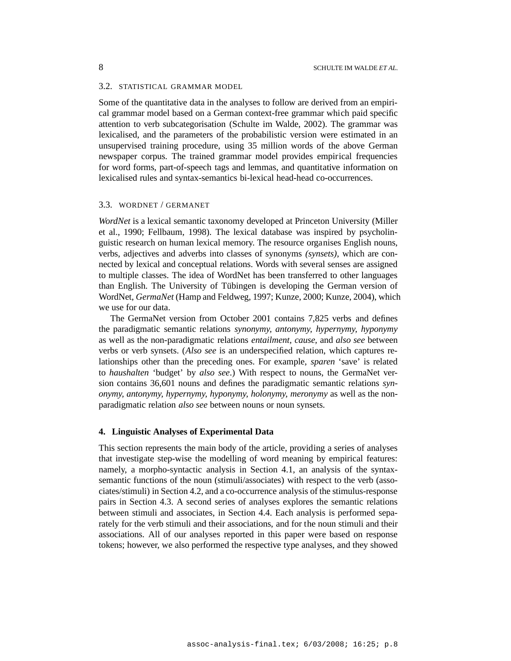## 3.2. STATISTICAL GRAMMAR MODEL

Some of the quantitative data in the analyses to follow are derived from an empirical grammar model based on a German context-free grammar which paid specific attention to verb subcategorisation (Schulte im Walde, 2002). The grammar was lexicalised, and the parameters of the probabilistic version were estimated in an unsupervised training procedure, using 35 million words of the above German newspaper corpus. The trained grammar model provides empirical frequencies for word forms, part-of-speech tags and lemmas, and quantitative information on lexicalised rules and syntax-semantics bi-lexical head-head co-occurrences.

#### 3.3. WORDNET / GERMANET

*WordNet* is a lexical semantic taxonomy developed at Princeton University (Miller et al., 1990; Fellbaum, 1998). The lexical database was inspired by psycholinguistic research on human lexical memory. The resource organises English nouns, verbs, adjectives and adverbs into classes of synonyms *(synsets)*, which are connected by lexical and conceptual relations. Words with several senses are assigned to multiple classes. The idea of WordNet has been transferred to other languages than English. The University of Tübingen is developing the German version of WordNet, *GermaNet* (Hamp and Feldweg, 1997; Kunze, 2000; Kunze, 2004), which we use for our data.

The GermaNet version from October 2001 contains 7,825 verbs and defines the paradigmatic semantic relations *synonymy, antonymy, hypernymy, hyponymy* as well as the non-paradigmatic relations *entailment, cause,* and *also see* between verbs or verb synsets. (*Also see* is an underspecified relation, which captures relationships other than the preceding ones. For example, *sparen* 'save' is related to *haushalten* 'budget' by *also see*.) With respect to nouns, the GermaNet version contains 36,601 nouns and defines the paradigmatic semantic relations *synonymy, antonymy, hypernymy, hyponymy, holonymy, meronymy* as well as the nonparadigmatic relation *also see* between nouns or noun synsets.

## **4. Linguistic Analyses of Experimental Data**

This section represents the main body of the article, providing a series of analyses that investigate step-wise the modelling of word meaning by empirical features: namely, a morpho-syntactic analysis in Section 4.1, an analysis of the syntaxsemantic functions of the noun (stimuli/associates) with respect to the verb (associates/stimuli) in Section 4.2, and a co-occurrence analysis of the stimulus-response pairs in Section 4.3. A second series of analyses explores the semantic relations between stimuli and associates, in Section 4.4. Each analysis is performed separately for the verb stimuli and their associations, and for the noun stimuli and their associations. All of our analyses reported in this paper were based on response tokens; however, we also performed the respective type analyses, and they showed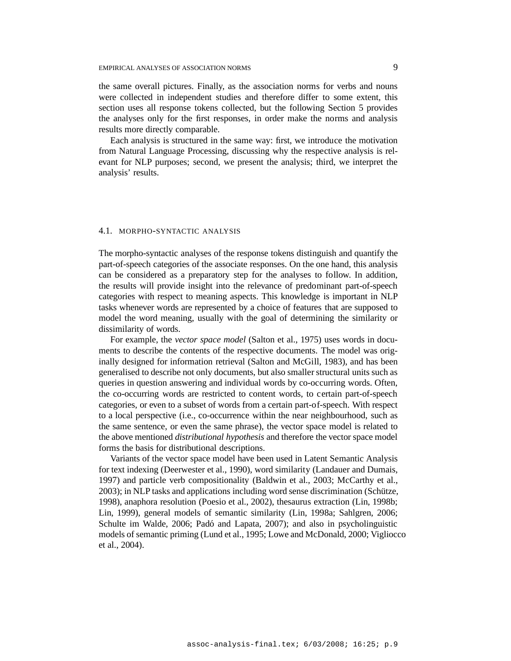the same overall pictures. Finally, as the association norms for verbs and nouns were collected in independent studies and therefore differ to some extent, this section uses all response tokens collected, but the following Section 5 provides the analyses only for the first responses, in order make the norms and analysis results more directly comparable.

Each analysis is structured in the same way: first, we introduce the motivation from Natural Language Processing, discussing why the respective analysis is relevant for NLP purposes; second, we present the analysis; third, we interpret the analysis' results.

## 4.1. MORPHO-SYNTACTIC ANALYSIS

The morpho-syntactic analyses of the response tokens distinguish and quantify the part-of-speech categories of the associate responses. On the one hand, this analysis can be considered as a preparatory step for the analyses to follow. In addition, the results will provide insight into the relevance of predominant part-of-speech categories with respect to meaning aspects. This knowledge is important in NLP tasks whenever words are represented by a choice of features that are supposed to model the word meaning, usually with the goal of determining the similarity or dissimilarity of words.

For example, the *vector space model* (Salton et al., 1975) uses words in documents to describe the contents of the respective documents. The model was originally designed for information retrieval (Salton and McGill, 1983), and has been generalised to describe not only documents, but also smaller structural units such as queries in question answering and individual words by co-occurring words. Often, the co-occurring words are restricted to content words, to certain part-of-speech categories, or even to a subset of words from a certain part-of-speech. With respect to a local perspective (i.e., co-occurrence within the near neighbourhood, such as the same sentence, or even the same phrase), the vector space model is related to the above mentioned *distributional hypothesis* and therefore the vector space model forms the basis for distributional descriptions.

Variants of the vector space model have been used in Latent Semantic Analysis for text indexing (Deerwester et al., 1990), word similarity (Landauer and Dumais, 1997) and particle verb compositionality (Baldwin et al., 2003; McCarthy et al., 2003); in NLP tasks and applications including word sense discrimination (Schütze, 1998), anaphora resolution (Poesio et al., 2002), thesaurus extraction (Lin, 1998b; Lin, 1999), general models of semantic similarity (Lin, 1998a; Sahlgren, 2006; Schulte im Walde, 2006; Padó and Lapata, 2007); and also in psycholinguistic models of semantic priming (Lund et al., 1995; Lowe and McDonald, 2000; Vigliocco et al., 2004).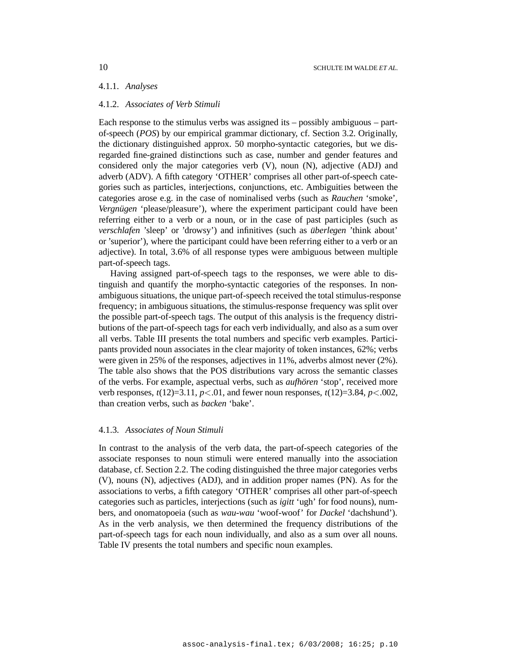## 4.1.1. *Analyses*

#### 4.1.2. *Associates of Verb Stimuli*

Each response to the stimulus verbs was assigned its – possibly ambiguous – partof-speech (*POS*) by our empirical grammar dictionary, cf. Section 3.2. Originally, the dictionary distinguished approx. 50 morpho-syntactic categories, but we disregarded fine-grained distinctions such as case, number and gender features and considered only the major categories verb (V), noun (N), adjective (ADJ) and adverb (ADV). A fifth category 'OTHER' comprises all other part-of-speech categories such as particles, interjections, conjunctions, etc. Ambiguities between the categories arose e.g. in the case of nominalised verbs (such as *Rauchen* 'smoke', *Vergnügen* 'please/pleasure'), where the experiment participant could have been referring either to a verb or a noun, or in the case of past participles (such as *verschlafen* 'sleep' or 'drowsy') and infinitives (such as *uberlegen ¨* 'think about' or 'superior'), where the participant could have been referring either to a verb or an adjective). In total, 3.6% of all response types were ambiguous between multiple part-of-speech tags.

Having assigned part-of-speech tags to the responses, we were able to distinguish and quantify the morpho-syntactic categories of the responses. In nonambiguous situations, the unique part-of-speech received the total stimulus-response frequency; in ambiguous situations, the stimulus-response frequency was split over the possible part-of-speech tags. The output of this analysis is the frequency distributions of the part-of-speech tags for each verb individually, and also as a sum over all verbs. Table III presents the total numbers and specific verb examples. Participants provided noun associates in the clear majority of token instances, 62%; verbs were given in 25% of the responses, adjectives in 11%, adverbs almost never (2%). The table also shows that the POS distributions vary across the semantic classes of the verbs. For example, aspectual verbs, such as *aufhoren ¨* 'stop', received more verb responses,  $t(12)=3.11$ ,  $p < 0.01$ , and fewer noun responses,  $t(12)=3.84$ ,  $p < 0.002$ , than creation verbs, such as *backen* 'bake'.

#### 4.1.3. *Associates of Noun Stimuli*

In contrast to the analysis of the verb data, the part-of-speech categories of the associate responses to noun stimuli were entered manually into the association database, cf. Section 2.2. The coding distinguished the three major categories verbs (V), nouns (N), adjectives (ADJ), and in addition proper names (PN). As for the associations to verbs, a fifth category 'OTHER' comprises all other part-of-speech categories such as particles, interjections (such as *igitt* 'ugh' for food nouns), numbers, and onomatopoeia (such as *wau-wau* 'woof-woof' for *Dackel* 'dachshund'). As in the verb analysis, we then determined the frequency distributions of the part-of-speech tags for each noun individually, and also as a sum over all nouns. Table IV presents the total numbers and specific noun examples.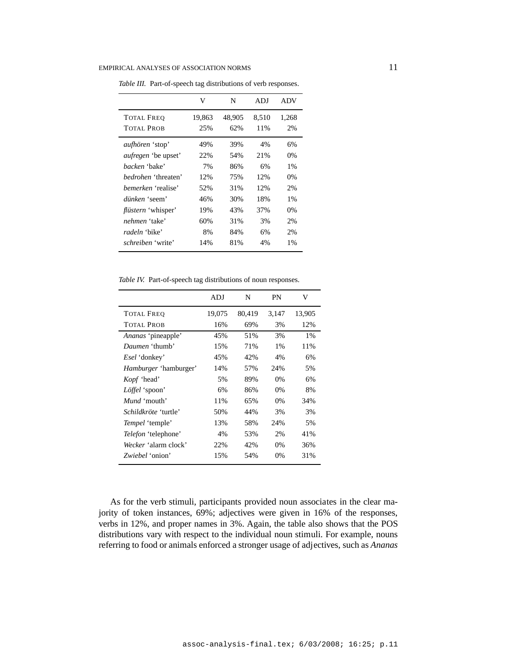|                            | V      | N      | ADJ   | ADV   |
|----------------------------|--------|--------|-------|-------|
| <b>TOTAL FREQ</b>          | 19,863 | 48,905 | 8,510 | 1,268 |
| TOTAL PROB                 | 25%    | 62%    | 11%   | 2%    |
| <i>aufhören</i> 'stop'     | 49%    | 39%    | 4%    | 6%    |
| <i>aufregen</i> 'be upset' | 22%    | 54%    | 21%   | $0\%$ |
| <i>hacken</i> 'hake'       | 7%     | 86%    | 6%    | 1%    |
| <i>hedrohen</i> 'threaten' | 12%    | 75%    | 12%   | 0%    |
| <i>hemerken</i> 'realise'  | 52%    | 31%    | 12%   | 2%    |
| dünken 'seem'              | 46%    | 30%    | 18%   | $1\%$ |
| <i>flüstern</i> 'whisper'  | 19%    | 43%    | 37%   | $0\%$ |
| nehmen 'take'              | 60%    | 31%    | 3%    | 2%    |
| radeln 'bike'              | 8%     | 84%    | 6%    | 2%    |
| <i>schreiben</i> 'write'   | 14%    | 81%    | 4%    | 1%    |

*Table III.* Part-of-speech tag distributions of verb responses.

*Table IV.* Part-of-speech tag distributions of noun responses.

|                              | ADJ    | N      | PN    | V      |
|------------------------------|--------|--------|-------|--------|
| <b>TOTAL FREO</b>            | 19,075 | 80,419 | 3,147 | 13,905 |
| <b>TOTAL PROB</b>            | 16%    | 69%    | 3%    | 12%    |
| Ananas 'pineapple'           | 45%    | 51%    | 3%    | 1%     |
| Daumen 'thumb'               | 15%    | 71%    | 1%    | 11%    |
| <i>Esel</i> 'donkey'         | 45%    | 42%    | 4%    | 6%     |
| <i>Hamburger</i> 'hamburger' | 14%    | 57%    | 24%   | 5%     |
| <i>Kopf</i> 'head'           | 5%     | 89%    | $0\%$ | 6%     |
| <i>Löffel</i> 'spoon'        | 6%     | 86%    | $0\%$ | 8%     |
| <i>Mund</i> 'mouth'          | 11%    | 65%    | $0\%$ | 34%    |
| <i>Schildkröte</i> 'turtle'  | 50%    | 44%    | 3%    | 3%     |
| <i>Tempel</i> 'temple'       | 13%    | 58%    | 24%   | 5%     |
| <i>Telefon</i> 'telephone'   | 4%     | 53%    | 2%    | 41%    |
| Wecker 'alarm clock'         | 22%    | 42%    | $0\%$ | 36%    |
| Zwiebel 'onion'              | 15%    | 54%    | 0%    | 31%    |

As for the verb stimuli, participants provided noun associates in the clear majority of token instances, 69%; adjectives were given in 16% of the responses, verbs in 12%, and proper names in 3%. Again, the table also shows that the POS distributions vary with respect to the individual noun stimuli. For example, nouns referring to food or animals enforced a stronger usage of adjectives, such as *Ananas*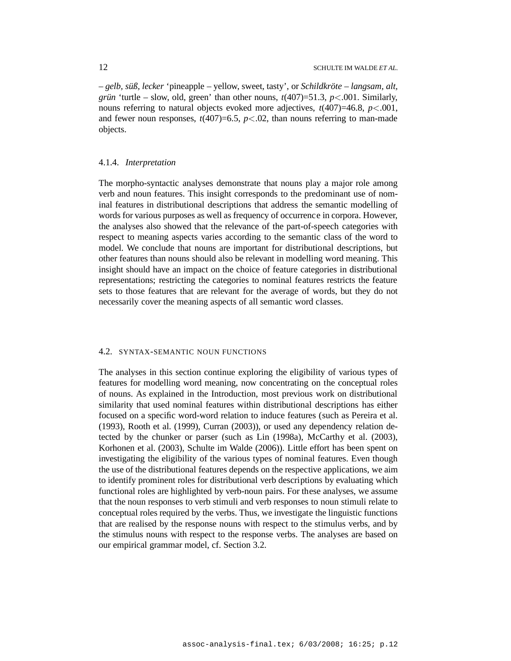*– gelb, suß, lecker ¨* 'pineapple – yellow, sweet, tasty', or *Schildkrote – langsam, alt, ¨ grün* 'turtle – slow, old, green' than other nouns,  $t(407)=51.3$ ,  $p<.001$ . Similarly, nouns referring to natural objects evoked more adjectives, *t*(407)=46.8, *p*<.001, and fewer noun responses,  $t(407)=6.5$ ,  $p<-0.2$ , than nouns referring to man-made objects.

#### 4.1.4. *Interpretation*

The morpho-syntactic analyses demonstrate that nouns play a major role among verb and noun features. This insight corresponds to the predominant use of nominal features in distributional descriptions that address the semantic modelling of words for various purposes as well as frequency of occurrence in corpora. However, the analyses also showed that the relevance of the part-of-speech categories with respect to meaning aspects varies according to the semantic class of the word to model. We conclude that nouns are important for distributional descriptions, but other features than nouns should also be relevant in modelling word meaning. This insight should have an impact on the choice of feature categories in distributional representations; restricting the categories to nominal features restricts the feature sets to those features that are relevant for the average of words, but they do not necessarily cover the meaning aspects of all semantic word classes.

#### 4.2. SYNTAX-SEMANTIC NOUN FUNCTIONS

The analyses in this section continue exploring the eligibility of various types of features for modelling word meaning, now concentrating on the conceptual roles of nouns. As explained in the Introduction, most previous work on distributional similarity that used nominal features within distributional descriptions has either focused on a specific word-word relation to induce features (such as Pereira et al. (1993), Rooth et al. (1999), Curran (2003)), or used any dependency relation detected by the chunker or parser (such as Lin (1998a), McCarthy et al. (2003), Korhonen et al. (2003), Schulte im Walde (2006)). Little effort has been spent on investigating the eligibility of the various types of nominal features. Even though the use of the distributional features depends on the respective applications, we aim to identify prominent roles for distributional verb descriptions by evaluating which functional roles are highlighted by verb-noun pairs. For these analyses, we assume that the noun responses to verb stimuli and verb responses to noun stimuli relate to conceptual roles required by the verbs. Thus, we investigate the linguistic functions that are realised by the response nouns with respect to the stimulus verbs, and by the stimulus nouns with respect to the response verbs. The analyses are based on our empirical grammar model, cf. Section 3.2.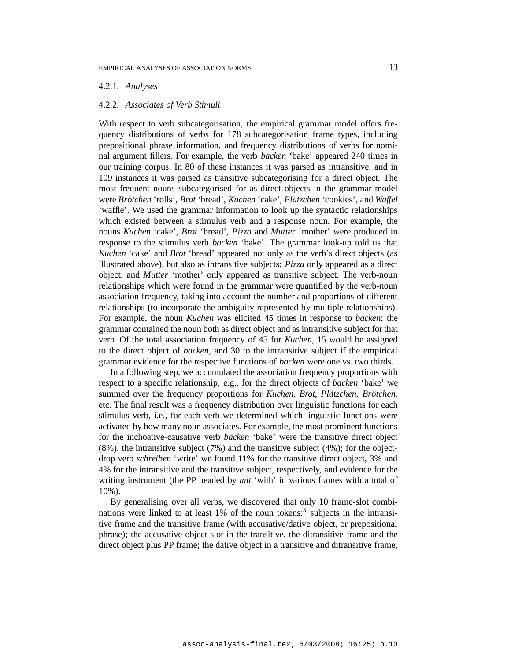#### 4.2.1. *Analyses*

## 4.2.2. *Associates of Verb Stimuli*

With respect to verb subcategorisation, the empirical grammar model offers frequency distributions of verbs for 178 subcategorisation frame types, including prepositional phrase information, and frequency distributions of verbs for nominal argument fillers. For example, the verb *backen* 'bake' appeared 240 times in our training corpus. In 80 of these instances it was parsed as intransitive, and in 109 instances it was parsed as transitive subcategorising for a direct object. The most frequent nouns subcategorised for as direct objects in the grammar model were *Brotchen ¨* 'rolls', *Brot* 'bread', *Kuchen* 'cake', *Platzchen ¨* 'cookies', and *Waffel* 'waffle'. We used the grammar information to look up the syntactic relationships which existed between a stimulus verb and a response noun. For example, the nouns *Kuchen* 'cake', *Brot* 'bread', *Pizza* and *Mutter* 'mother' were produced in response to the stimulus verb *backen* 'bake'. The grammar look-up told us that *Kuchen* 'cake' and *Brot* 'bread' appeared not only as the verb's direct objects (as illustrated above), but also as intransitive subjects; *Pizza* only appeared as a direct object, and *Mutter* 'mother' only appeared as transitive subject. The verb-noun relationships which were found in the grammar were quantified by the verb-noun association frequency, taking into account the number and proportions of different relationships (to incorporate the ambiguity represented by multiple relationships). For example, the noun *Kuchen* was elicited 45 times in response to *backen*; the grammar contained the noun both as direct object and as intransitive subject for that verb. Of the total association frequency of 45 for *Kuchen*, 15 would be assigned to the direct object of *backen*, and 30 to the intransitive subject if the empirical grammar evidence for the respective functions of *backen* were one vs. two thirds.

In a following step, we accumulated the association frequency proportions with respect to a specific relationship, e.g., for the direct objects of *backen* 'bake' we summed over the frequency proportions for *Kuchen*, *Brot*, *Plätzchen*, *Brötchen*, etc. The final result was a frequency distribution over linguistic functions for each stimulus verb, i.e., for each verb we determined which linguistic functions were activated by how many noun associates. For example, the most prominent functions for the inchoative-causative verb *backen* 'bake' were the transitive direct object (8%), the intransitive subject (7%) and the transitive subject (4%); for the objectdrop verb *schreiben* 'write' we found 11% for the transitive direct object, 3% and 4% for the intransitive and the transitive subject, respectively, and evidence for the writing instrument (the PP headed by *mit* 'with' in various frames with a total of 10%).

By generalising over all verbs, we discovered that only 10 frame-slot combinations were linked to at least 1% of the noun tokens:<sup>5</sup> subjects in the intransitive frame and the transitive frame (with accusative/dative object, or prepositional phrase); the accusative object slot in the transitive, the ditransitive frame and the direct object plus PP frame; the dative object in a transitive and ditransitive frame,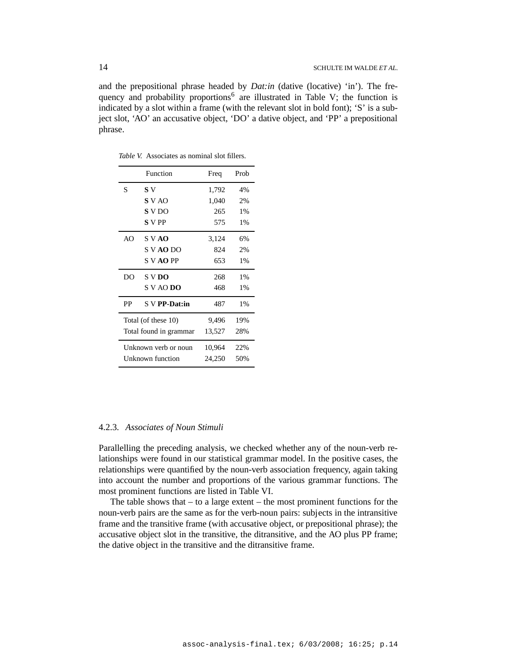and the prepositional phrase headed by *Dat:in* (dative (locative) 'in'). The frequency and probability proportions<sup>6</sup> are illustrated in Table V; the function is indicated by a slot within a frame (with the relevant slot in bold font); 'S' is a subject slot, 'AO' an accusative object, 'DO' a dative object, and 'PP' a prepositional phrase.

|    | Function               | Freq   | Prob |
|----|------------------------|--------|------|
| S  | S V                    | 1,792  | 4%   |
|    | S V AO                 | 1,040  | 2%   |
|    | S V DO                 | 265    | 1%   |
|    | <b>S</b> V PP          | 575    | 1%   |
| AO | S V AO                 | 3,124  | 6%   |
|    | S V AO DO              | 824    | 2%   |
|    | S V AO PP              | 653    | 1%   |
| DO | S V DO                 | 268    | 1%   |
|    | S V AO DO              | 468    | 1%   |
| PP | S V PP-Dat:in          | 487    | 1%   |
|    | Total (of these 10)    | 9,496  | 19%  |
|    | Total found in grammar | 13,527 | 28%  |
|    | Unknown verb or noun   | 10,964 | 22%  |
|    | Unknown function       | 24,250 | 50%  |

*Table V.* Associates as nominal slot fillers.

## 4.2.3. *Associates of Noun Stimuli*

Parallelling the preceding analysis, we checked whether any of the noun-verb relationships were found in our statistical grammar model. In the positive cases, the relationships were quantified by the noun-verb association frequency, again taking into account the number and proportions of the various grammar functions. The most prominent functions are listed in Table VI.

The table shows that – to a large extent – the most prominent functions for the noun-verb pairs are the same as for the verb-noun pairs: subjects in the intransitive frame and the transitive frame (with accusative object, or prepositional phrase); the accusative object slot in the transitive, the ditransitive, and the AO plus PP frame; the dative object in the transitive and the ditransitive frame.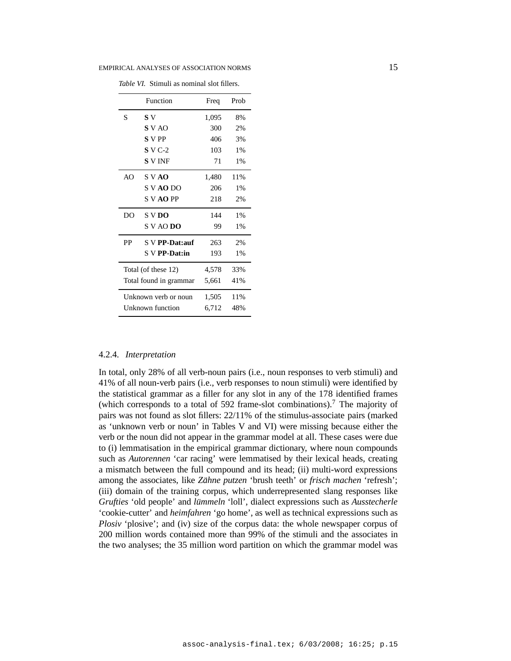*Table VI.* Stimuli as nominal slot fillers.

|                | Function               | Freq  | Prob |
|----------------|------------------------|-------|------|
| S              | S V                    | 1,095 | 8%   |
|                | S V AO                 | 300   | 2%   |
|                | S V PP                 | 406   | 3%   |
|                | <b>S</b> V C-2         | 103   | 1%   |
|                | <b>S</b> V INF         | 71    | 1%   |
| AO             | S V AO                 | 1,480 | 11%  |
|                | S V AO DO              | 206   | 1%   |
|                | S V AO PP              | 218   | 2%   |
| D <sub>O</sub> | S V DO                 | 144   | 1%   |
|                | S V AO <b>DO</b>       | 99    | 1%   |
| PP             | S V PP-Dat:auf         | 263   | 2%   |
|                | $S \vee PP-Dat:in$     | 193   | 1%   |
|                | Total (of these 12)    | 4,578 | 33%  |
|                | Total found in grammar | 5,661 | 41%  |
|                | Unknown verb or noun   | 1,505 | 11%  |
|                | Unknown function       | 6,712 | 48%  |

## 4.2.4. *Interpretation*

In total, only 28% of all verb-noun pairs (i.e., noun responses to verb stimuli) and 41% of all noun-verb pairs (i.e., verb responses to noun stimuli) were identified by the statistical grammar as a filler for any slot in any of the 178 identified frames (which corresponds to a total of 592 frame-slot combinations).<sup>7</sup> The majority of pairs was not found as slot fillers: 22/11% of the stimulus-associate pairs (marked as 'unknown verb or noun' in Tables V and VI) were missing because either the verb or the noun did not appear in the grammar model at all. These cases were due to (i) lemmatisation in the empirical grammar dictionary, where noun compounds such as *Autorennen* 'car racing' were lemmatised by their lexical heads, creating a mismatch between the full compound and its head; (ii) multi-word expressions among the associates, like *Zahne putzen ¨* 'brush teeth' or *frisch machen* 'refresh'; (iii) domain of the training corpus, which underrepresented slang responses like *Grufties* 'old people' and *lummeln ¨* 'loll', dialect expressions such as *Ausstecherle* 'cookie-cutter' and *heimfahren* 'go home', as well as technical expressions such as *Plosiv* 'plosive'; and (iv) size of the corpus data: the whole newspaper corpus of 200 million words contained more than 99% of the stimuli and the associates in the two analyses; the 35 million word partition on which the grammar model was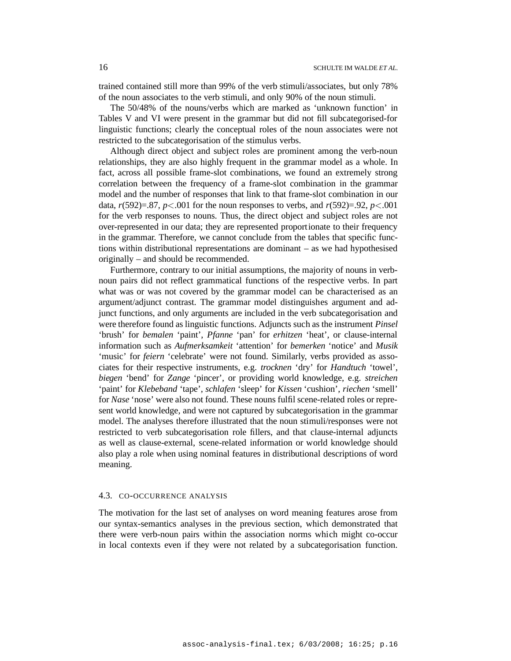trained contained still more than 99% of the verb stimuli/associates, but only 78% of the noun associates to the verb stimuli, and only 90% of the noun stimuli.

The 50/48% of the nouns/verbs which are marked as 'unknown function' in Tables V and VI were present in the grammar but did not fill subcategorised-for linguistic functions; clearly the conceptual roles of the noun associates were not restricted to the subcategorisation of the stimulus verbs.

Although direct object and subject roles are prominent among the verb-noun relationships, they are also highly frequent in the grammar model as a whole. In fact, across all possible frame-slot combinations, we found an extremely strong correlation between the frequency of a frame-slot combination in the grammar model and the number of responses that link to that frame-slot combination in our data,  $r(592)=.87$ ,  $p<-.001$  for the noun responses to verbs, and  $r(592)=.92$ ,  $p<-.001$ for the verb responses to nouns. Thus, the direct object and subject roles are not over-represented in our data; they are represented proportionate to their frequency in the grammar. Therefore, we cannot conclude from the tables that specific functions within distributional representations are dominant – as we had hypothesised originally – and should be recommended.

Furthermore, contrary to our initial assumptions, the majority of nouns in verbnoun pairs did not reflect grammatical functions of the respective verbs. In part what was or was not covered by the grammar model can be characterised as an argument/adjunct contrast. The grammar model distinguishes argument and adjunct functions, and only arguments are included in the verb subcategorisation and were therefore found as linguistic functions. Adjuncts such as the instrument *Pinsel* 'brush' for *bemalen* 'paint', *Pfanne* 'pan' for *erhitzen* 'heat', or clause-internal information such as *Aufmerksamkeit* 'attention' for *bemerken* 'notice' and *Musik* 'music' for *feiern* 'celebrate' were not found. Similarly, verbs provided as associates for their respective instruments, e.g. *trocknen* 'dry' for *Handtuch* 'towel', *biegen* 'bend' for *Zange* 'pincer', or providing world knowledge, e.g. *streichen* 'paint' for *Klebeband* 'tape', *schlafen* 'sleep' for *Kissen* 'cushion', *riechen* 'smell' for *Nase* 'nose' were also not found. These nouns fulfil scene-related roles or represent world knowledge, and were not captured by subcategorisation in the grammar model. The analyses therefore illustrated that the noun stimuli/responses were not restricted to verb subcategorisation role fillers, and that clause-internal adjuncts as well as clause-external, scene-related information or world knowledge should also play a role when using nominal features in distributional descriptions of word meaning.

## 4.3. CO-OCCURRENCE ANALYSIS

The motivation for the last set of analyses on word meaning features arose from our syntax-semantics analyses in the previous section, which demonstrated that there were verb-noun pairs within the association norms which might co-occur in local contexts even if they were not related by a subcategorisation function.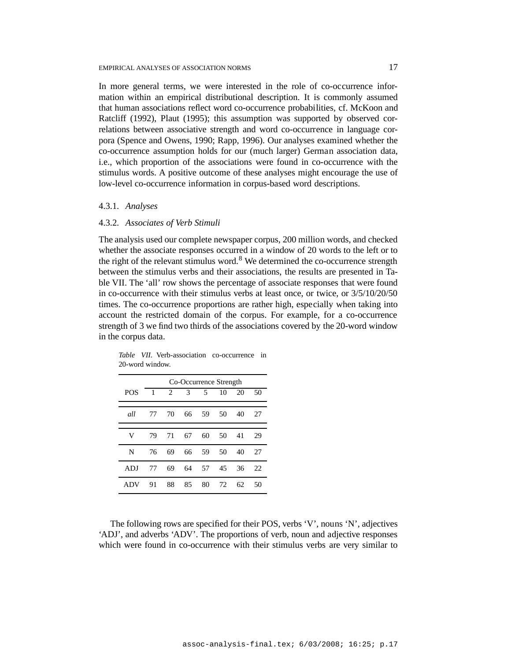In more general terms, we were interested in the role of co-occurrence information within an empirical distributional description. It is commonly assumed that human associations reflect word co-occurrence probabilities, cf. McKoon and Ratcliff (1992), Plaut (1995); this assumption was supported by observed correlations between associative strength and word co-occurrence in language corpora (Spence and Owens, 1990; Rapp, 1996). Our analyses examined whether the co-occurrence assumption holds for our (much larger) German association data, i.e., which proportion of the associations were found in co-occurrence with the stimulus words. A positive outcome of these analyses might encourage the use of low-level co-occurrence information in corpus-based word descriptions.

## 4.3.1. *Analyses*

#### 4.3.2. *Associates of Verb Stimuli*

The analysis used our complete newspaper corpus, 200 million words, and checked whether the associate responses occurred in a window of 20 words to the left or to the right of the relevant stimulus word.<sup>8</sup> We determined the co-occurrence strength between the stimulus verbs and their associations, the results are presented in Table VII. The 'all' row shows the percentage of associate responses that were found in co-occurrence with their stimulus verbs at least once, or twice, or 3/5/10/20/50 times. The co-occurrence proportions are rather high, especially when taking into account the restricted domain of the corpus. For example, for a co-occurrence strength of 3 we find two thirds of the associations covered by the 20-word window in the corpus data.

|            |    | Co-Occurrence Strength |    |    |    |    |    |  |
|------------|----|------------------------|----|----|----|----|----|--|
| <b>POS</b> | 1  | $\overline{c}$         | 3  | 5  | 10 | 20 | 50 |  |
|            |    |                        |    |    |    |    |    |  |
| all        | 77 | 70                     | 66 | 59 | 50 | 40 | 27 |  |
|            |    |                        |    |    |    |    |    |  |
| V          | 79 | 71                     | 67 | 60 | 50 | 41 | 29 |  |
| N          | 76 | 69                     | 66 | 59 | 50 | 40 | 27 |  |
| ADJ        | 77 | 69                     | 64 | 57 | 45 | 36 | 22 |  |
| ADV        | 91 | 88                     | 85 | 80 | 72 | 62 | 50 |  |

*Table VII.* Verb-association co-occurrence in 20-word window.

The following rows are specified for their POS, verbs 'V', nouns 'N', adjectives 'ADJ', and adverbs 'ADV'. The proportions of verb, noun and adjective responses which were found in co-occurrence with their stimulus verbs are very similar to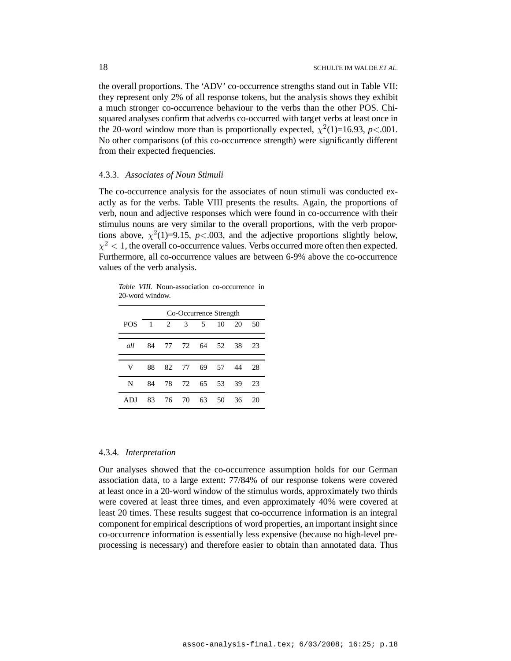the overall proportions. The 'ADV' co-occurrence strengths stand out in Table VII: they represent only 2% of all response tokens, but the analysis shows they exhibit a much stronger co-occurrence behaviour to the verbs than the other POS. Chisquared analyses confirm that adverbs co-occurred with target verbs at least once in the 20-word window more than is proportionally expected,  $\chi^2(1)=16.93$ ,  $p<.001$ . No other comparisons (of this co-occurrence strength) were significantly different from their expected frequencies.

## 4.3.3. *Associates of Noun Stimuli*

The co-occurrence analysis for the associates of noun stimuli was conducted exactly as for the verbs. Table VIII presents the results. Again, the proportions of verb, noun and adjective responses which were found in co-occurrence with their stimulus nouns are very similar to the overall proportions, with the verb proportions above,  $\chi^2(1)=9.15$ ,  $p<0.003$ , and the adjective proportions slightly below,  $\chi^2$  < 1, the overall co-occurrence values. Verbs occurred more often then expected. Furthermore, all co-occurrence values are between 6-9% above the co-occurrence values of the verb analysis.

*Table VIII.* Noun-association co-occurrence in 20-word window.

| Co-Occurrence Strength |    |                |    |    |    |    |    |
|------------------------|----|----------------|----|----|----|----|----|
| <b>POS</b>             | 1  | $\overline{c}$ | 3  | 5  | 10 | 20 | 50 |
|                        |    |                |    |    |    |    |    |
| all                    | 84 | 77             | 72 | 64 | 52 | 38 | 23 |
|                        |    |                |    |    |    |    |    |
| V                      | 88 | 82             | 77 | 69 | 57 | 44 | 28 |
| N                      | 84 | 78             | 72 | 65 | 53 | 39 | 23 |
| ADJ                    | 83 | 76             | 70 | 63 | 50 | 36 | 20 |

#### 4.3.4. *Interpretation*

Our analyses showed that the co-occurrence assumption holds for our German association data, to a large extent: 77/84% of our response tokens were covered at least once in a 20-word window of the stimulus words, approximately two thirds were covered at least three times, and even approximately 40% were covered at least 20 times. These results suggest that co-occurrence information is an integral component for empirical descriptions of word properties, an important insight since co-occurrence information is essentially less expensive (because no high-level preprocessing is necessary) and therefore easier to obtain than annotated data. Thus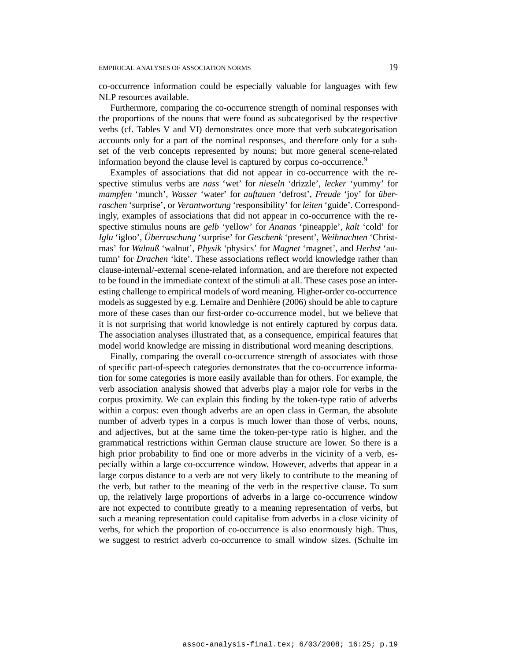co-occurrence information could be especially valuable for languages with few NLP resources available.

Furthermore, comparing the co-occurrence strength of nominal responses with the proportions of the nouns that were found as subcategorised by the respective verbs (cf. Tables V and VI) demonstrates once more that verb subcategorisation accounts only for a part of the nominal responses, and therefore only for a subset of the verb concepts represented by nouns; but more general scene-related information beyond the clause level is captured by corpus co-occurrence.<sup>9</sup>

Examples of associations that did not appear in co-occurrence with the respective stimulus verbs are *nass* 'wet' for *nieseln* 'drizzle', *lecker* 'yummy' for *mampfen* 'munch', *Wasser* 'water' for *auftauen* 'defrost', *Freude* 'joy' for *uber- ¨ raschen* 'surprise', or *Verantwortung* 'responsibility' for *leiten* 'guide'. Correspondingly, examples of associations that did not appear in co-occurrence with the respective stimulus nouns are *gelb* 'yellow' for *Ananas* 'pineapple', *kalt* 'cold' for *Iglu* 'igloo', *Uberraschung ¨* 'surprise' for *Geschenk* 'present', *Weihnachten* 'Christmas' for *Walnuß* 'walnut', *Physik* 'physics' for *Magnet* 'magnet', and *Herbst* 'autumn' for *Drachen* 'kite'. These associations reflect world knowledge rather than clause-internal/-external scene-related information, and are therefore not expected to be found in the immediate context of the stimuli at all. These cases pose an interesting challenge to empirical models of word meaning. Higher-order co-occurrence models as suggested by e.g. Lemaire and Denhière (2006) should be able to capture more of these cases than our first-order co-occurrence model, but we believe that it is not surprising that world knowledge is not entirely captured by corpus data. The association analyses illustrated that, as a consequence, empirical features that model world knowledge are missing in distributional word meaning descriptions.

Finally, comparing the overall co-occurrence strength of associates with those of specific part-of-speech categories demonstrates that the co-occurrence information for some categories is more easily available than for others. For example, the verb association analysis showed that adverbs play a major role for verbs in the corpus proximity. We can explain this finding by the token-type ratio of adverbs within a corpus: even though adverbs are an open class in German, the absolute number of adverb types in a corpus is much lower than those of verbs, nouns, and adjectives, but at the same time the token-per-type ratio is higher, and the grammatical restrictions within German clause structure are lower. So there is a high prior probability to find one or more adverbs in the vicinity of a verb, especially within a large co-occurrence window. However, adverbs that appear in a large corpus distance to a verb are not very likely to contribute to the meaning of the verb, but rather to the meaning of the verb in the respective clause. To sum up, the relatively large proportions of adverbs in a large co-occurrence window are not expected to contribute greatly to a meaning representation of verbs, but such a meaning representation could capitalise from adverbs in a close vicinity of verbs, for which the proportion of co-occurrence is also enormously high. Thus, we suggest to restrict adverb co-occurrence to small window sizes. (Schulte im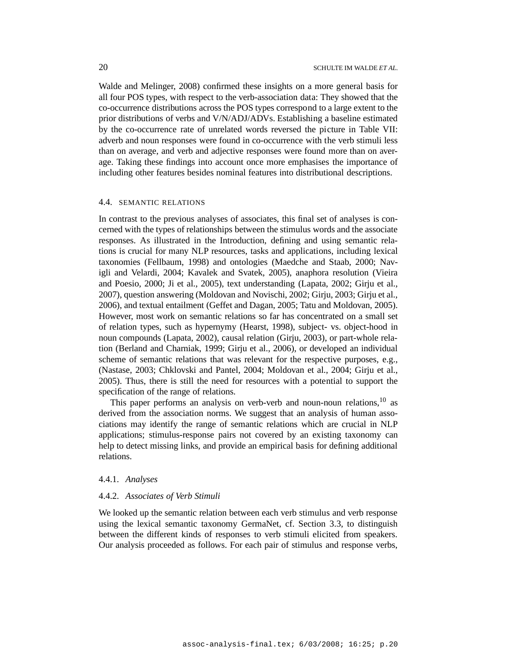Walde and Melinger, 2008) confirmed these insights on a more general basis for all four POS types, with respect to the verb-association data: They showed that the co-occurrence distributions across the POS types correspond to a large extent to the prior distributions of verbs and V/N/ADJ/ADVs. Establishing a baseline estimated by the co-occurrence rate of unrelated words reversed the picture in Table VII: adverb and noun responses were found in co-occurrence with the verb stimuli less than on average, and verb and adjective responses were found more than on average. Taking these findings into account once more emphasises the importance of including other features besides nominal features into distributional descriptions.

# 4.4. SEMANTIC RELATIONS

In contrast to the previous analyses of associates, this final set of analyses is concerned with the types of relationships between the stimulus words and the associate responses. As illustrated in the Introduction, defining and using semantic relations is crucial for many NLP resources, tasks and applications, including lexical taxonomies (Fellbaum, 1998) and ontologies (Maedche and Staab, 2000; Navigli and Velardi, 2004; Kavalek and Svatek, 2005), anaphora resolution (Vieira and Poesio, 2000; Ji et al., 2005), text understanding (Lapata, 2002; Girju et al., 2007), question answering (Moldovan and Novischi, 2002; Girju, 2003; Girju et al., 2006), and textual entailment (Geffet and Dagan, 2005; Tatu and Moldovan, 2005). However, most work on semantic relations so far has concentrated on a small set of relation types, such as hypernymy (Hearst, 1998), subject- vs. object-hood in noun compounds (Lapata, 2002), causal relation (Girju, 2003), or part-whole relation (Berland and Charniak, 1999; Girju et al., 2006), or developed an individual scheme of semantic relations that was relevant for the respective purposes, e.g., (Nastase, 2003; Chklovski and Pantel, 2004; Moldovan et al., 2004; Girju et al., 2005). Thus, there is still the need for resources with a potential to support the specification of the range of relations.

This paper performs an analysis on verb-verb and noun-noun relations,  $10$  as derived from the association norms. We suggest that an analysis of human associations may identify the range of semantic relations which are crucial in NLP applications; stimulus-response pairs not covered by an existing taxonomy can help to detect missing links, and provide an empirical basis for defining additional relations.

## 4.4.1. *Analyses*

## 4.4.2. *Associates of Verb Stimuli*

We looked up the semantic relation between each verb stimulus and verb response using the lexical semantic taxonomy GermaNet, cf. Section 3.3, to distinguish between the different kinds of responses to verb stimuli elicited from speakers. Our analysis proceeded as follows. For each pair of stimulus and response verbs,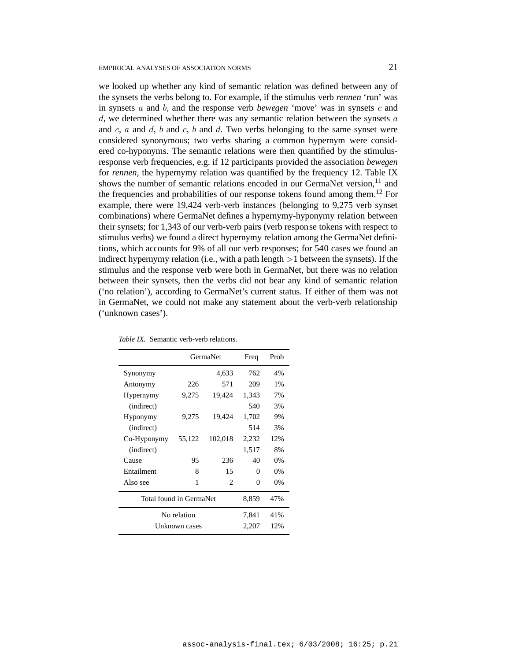we looked up whether any kind of semantic relation was defined between any of the synsets the verbs belong to. For example, if the stimulus verb *rennen* 'run' was in synsets a and b, and the response verb *bewegen* 'move' was in synsets c and  $d$ , we determined whether there was any semantic relation between the synsets  $a$ and c,  $a$  and  $d$ ,  $b$  and  $c$ ,  $b$  and  $d$ . Two verbs belonging to the same synset were considered synonymous; two verbs sharing a common hypernym were considered co-hyponyms. The semantic relations were then quantified by the stimulusresponse verb frequencies, e.g. if 12 participants provided the association *bewegen* for *rennen*, the hypernymy relation was quantified by the frequency 12. Table IX shows the number of semantic relations encoded in our GermaNet version,  $11$  and the frequencies and probabilities of our response tokens found among them.<sup>12</sup> For example, there were 19,424 verb-verb instances (belonging to 9,275 verb synset combinations) where GermaNet defines a hypernymy-hyponymy relation between their synsets; for 1,343 of our verb-verb pairs (verb response tokens with respect to stimulus verbs) we found a direct hypernymy relation among the GermaNet definitions, which accounts for 9% of all our verb responses; for 540 cases we found an indirect hypernymy relation (i.e., with a path length  $>1$  between the synsets). If the stimulus and the response verb were both in GermaNet, but there was no relation between their synsets, then the verbs did not bear any kind of semantic relation ('no relation'), according to GermaNet's current status. If either of them was not in GermaNet, we could not make any statement about the verb-verb relationship ('unknown cases').

|                         |               | GermaNet | Freq     | Prob |
|-------------------------|---------------|----------|----------|------|
| Synonymy                |               | 4,633    | 762      | 4%   |
| Antonymy                | 226           | 571      | 209      | 1%   |
| Hypernymy               | 9,275         | 19,424   | 1,343    | 7%   |
| (indirect)              |               |          | 540      | 3%   |
| Hyponymy                | 9,275         | 19,424   | 1,702    | 9%   |
| (indirect)              |               |          | 514      | 3%   |
| Co-Hyponymy             | 55,122        | 102,018  | 2,232    | 12%  |
| (indirect)              |               |          | 1,517    | 8%   |
| Cause                   | 95            | 236      | 40       | 0%   |
| Entailment              | 8             | 15       | $\Omega$ | 0%   |
| Also see                | 1             | 2        | $\theta$ | 0%   |
| Total found in GermaNet | 8,859         | 47%      |          |      |
| No relation             | 7,841         | 41%      |          |      |
|                         | Unknown cases |          | 2,207    | 12%  |

|  |  | <i>Table IX.</i> Semantic verb-verb relations. |
|--|--|------------------------------------------------|
|--|--|------------------------------------------------|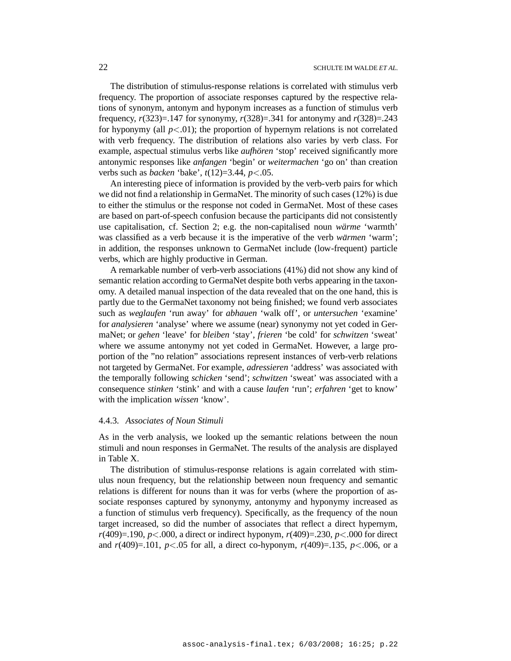The distribution of stimulus-response relations is correlated with stimulus verb frequency. The proportion of associate responses captured by the respective relations of synonym, antonym and hyponym increases as a function of stimulus verb frequency,  $r(323)=147$  for synonymy,  $r(328)=341$  for antonymy and  $r(328)=343$ for hyponymy (all  $p < .01$ ); the proportion of hypernym relations is not correlated with verb frequency. The distribution of relations also varies by verb class. For example, aspectual stimulus verbs like *aufhören* 'stop' received significantly more antonymic responses like *anfangen* 'begin' or *weitermachen* 'go on' than creation verbs such as *backen* 'bake', *t*(12)=3.44, *p*<.05.

An interesting piece of information is provided by the verb-verb pairs for which we did not find a relationship in GermaNet. The minority of such cases (12%) is due to either the stimulus or the response not coded in GermaNet. Most of these cases are based on part-of-speech confusion because the participants did not consistently use capitalisation, cf. Section 2; e.g. the non-capitalised noun *warme ¨* 'warmth' was classified as a verb because it is the imperative of the verb *wärmen* 'warm'; in addition, the responses unknown to GermaNet include (low-frequent) particle verbs, which are highly productive in German.

A remarkable number of verb-verb associations (41%) did not show any kind of semantic relation according to GermaNet despite both verbs appearing in the taxonomy. A detailed manual inspection of the data revealed that on the one hand, this is partly due to the GermaNet taxonomy not being finished; we found verb associates such as *weglaufen* 'run away' for *abhauen* 'walk off', or *untersuchen* 'examine' for *analysieren* 'analyse' where we assume (near) synonymy not yet coded in GermaNet; or *gehen* 'leave' for *bleiben* 'stay', *frieren* 'be cold' for *schwitzen* 'sweat' where we assume antonymy not yet coded in GermaNet. However, a large proportion of the "no relation" associations represent instances of verb-verb relations not targeted by GermaNet. For example, *adressieren* 'address' was associated with the temporally following *schicken* 'send'; *schwitzen* 'sweat' was associated with a consequence *stinken* 'stink' and with a cause *laufen* 'run'; *erfahren* 'get to know' with the implication *wissen* 'know'.

#### 4.4.3. *Associates of Noun Stimuli*

As in the verb analysis, we looked up the semantic relations between the noun stimuli and noun responses in GermaNet. The results of the analysis are displayed in Table X.

The distribution of stimulus-response relations is again correlated with stimulus noun frequency, but the relationship between noun frequency and semantic relations is different for nouns than it was for verbs (where the proportion of associate responses captured by synonymy, antonymy and hyponymy increased as a function of stimulus verb frequency). Specifically, as the frequency of the noun target increased, so did the number of associates that reflect a direct hypernym, *r*(409)=.190, *p*<.000, a direct or indirect hyponym, *r*(409)=.230, *p*<.000 for direct and *r*(409)=.101, *p*<.05 for all, a direct co-hyponym, *r*(409)=.135, *p*<.006, or a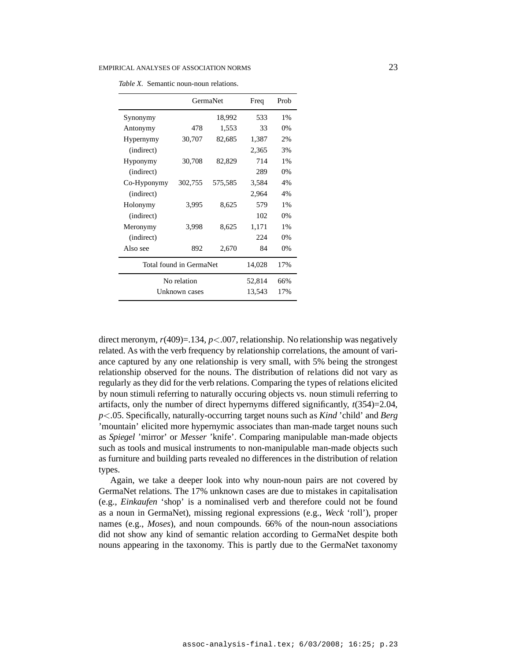|                         |               | GermaNet | Freq   | Prob  |
|-------------------------|---------------|----------|--------|-------|
| Synonymy                |               | 18,992   | 533    | 1%    |
| Antonymy                | 478           | 1,553    | 33     | 0%    |
| Hypernymy               | 30,707        | 82,685   | 1,387  | 2%    |
| (indirect)              |               |          | 2,365  | 3%    |
| <b>Hyponymy</b>         | 30,708        | 82,829   | 714    | 1%    |
| (indirect)              |               |          | 289    | $0\%$ |
| Co-Hyponymy             | 302,755       | 575,585  | 3,584  | 4%    |
| (indirect)              |               |          | 2,964  | 4%    |
| Holonymy                | 3,995         | 8,625    | 579    | 1%    |
| (indirect)              |               |          | 102    | $0\%$ |
| Meronymy                | 3,998         | 8,625    | 1,171  | 1%    |
| (indirect)              |               |          | 224    | 0%    |
| Also see                | 892           | 2,670    | 84     | 0%    |
| Total found in GermaNet | 14,028        | 17%      |        |       |
| No relation             | 52,814        | 66%      |        |       |
|                         | Unknown cases |          | 13,543 | 17%   |

*Table X.* Semantic noun-noun relations.

direct meronym,  $r(409)=.134$ ,  $p<-007$ , relationship. No relationship was negatively related. As with the verb frequency by relationship correlations, the amount of variance captured by any one relationship is very small, with 5% being the strongest relationship observed for the nouns. The distribution of relations did not vary as regularly as they did for the verb relations. Comparing the types of relations elicited by noun stimuli referring to naturally occuring objects vs. noun stimuli referring to artifacts, only the number of direct hypernyms differed significantly, *t*(354)=2.04, *p*<.05. Specifically, naturally-occurring target nouns such as *Kind* 'child' and *Berg* 'mountain' elicited more hypernymic associates than man-made target nouns such as *Spiegel* 'mirror' or *Messer* 'knife'. Comparing manipulable man-made objects such as tools and musical instruments to non-manipulable man-made objects such as furniture and building parts revealed no differences in the distribution of relation types.

Again, we take a deeper look into why noun-noun pairs are not covered by GermaNet relations. The 17% unknown cases are due to mistakes in capitalisation (e.g., *Einkaufen* 'shop' is a nominalised verb and therefore could not be found as a noun in GermaNet), missing regional expressions (e.g., *Weck* 'roll'), proper names (e.g., *Moses*), and noun compounds. 66% of the noun-noun associations did not show any kind of semantic relation according to GermaNet despite both nouns appearing in the taxonomy. This is partly due to the GermaNet taxonomy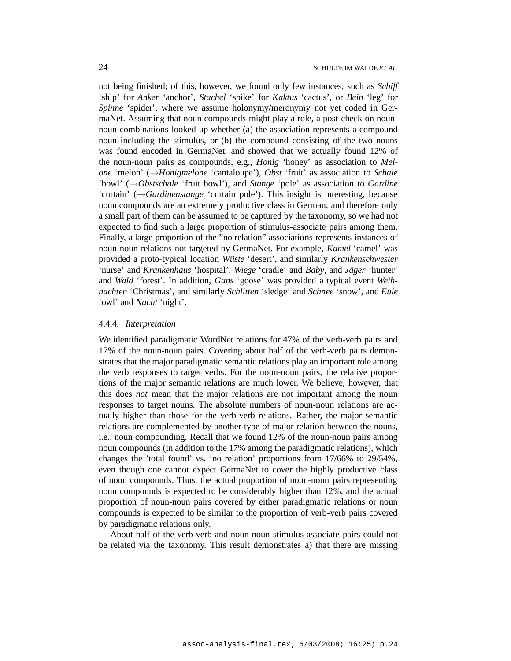not being finished; of this, however, we found only few instances, such as *Schiff* 'ship' for *Anker* 'anchor', *Stachel* 'spike' for *Kaktus* 'cactus', or *Bein* 'leg' for *Spinne* 'spider', where we assume holonymy/meronymy not yet coded in GermaNet. Assuming that noun compounds might play a role, a post-check on nounnoun combinations looked up whether (a) the association represents a compound noun including the stimulus, or (b) the compound consisting of the two nouns was found encoded in GermaNet, and showed that we actually found 12% of the noun-noun pairs as compounds, e.g., *Honig* 'honey' as association to *Melone* 'melon' (→*Honigmelone* 'cantaloupe'), *Obst* 'fruit' as association to *Schale* 'bowl' (→*Obstschale* 'fruit bowl'), and *Stange* 'pole' as association to *Gardine* 'curtain' (→*Gardinenstange* 'curtain pole'). This insight is interesting, because noun compounds are an extremely productive class in German, and therefore only a small part of them can be assumed to be captured by the taxonomy, so we had not expected to find such a large proportion of stimulus-associate pairs among them. Finally, a large proportion of the "no relation" associations represents instances of noun-noun relations not targeted by GermaNet. For example, *Kamel* 'camel' was provided a proto-typical location *Wuste ¨* 'desert', and similarly *Krankenschwester* 'nurse' and *Krankenhaus* 'hospital', *Wiege* 'cradle' and *Baby*, and *Jäger* 'hunter' and *Wald* 'forest'. In addition, *Gans* 'goose' was provided a typical event *Weihnachten* 'Christmas', and similarly *Schlitten* 'sledge' and *Schnee* 'snow', and *Eule* 'owl' and *Nacht* 'night'.

#### 4.4.4. *Interpretation*

We identified paradigmatic WordNet relations for 47% of the verb-verb pairs and 17% of the noun-noun pairs. Covering about half of the verb-verb pairs demonstrates that the major paradigmatic semantic relations play an important role among the verb responses to target verbs. For the noun-noun pairs, the relative proportions of the major semantic relations are much lower. We believe, however, that this does *not* mean that the major relations are not important among the noun responses to target nouns. The absolute numbers of noun-noun relations are actually higher than those for the verb-verb relations. Rather, the major semantic relations are complemented by another type of major relation between the nouns, i.e., noun compounding. Recall that we found 12% of the noun-noun pairs among noun compounds (in addition to the 17% among the paradigmatic relations), which changes the 'total found' vs. 'no relation' proportions from 17/66% to 29/54%, even though one cannot expect GermaNet to cover the highly productive class of noun compounds. Thus, the actual proportion of noun-noun pairs representing noun compounds is expected to be considerably higher than 12%, and the actual proportion of noun-noun pairs covered by either paradigmatic relations or noun compounds is expected to be similar to the proportion of verb-verb pairs covered by paradigmatic relations only.

About half of the verb-verb and noun-noun stimulus-associate pairs could not be related via the taxonomy. This result demonstrates a) that there are missing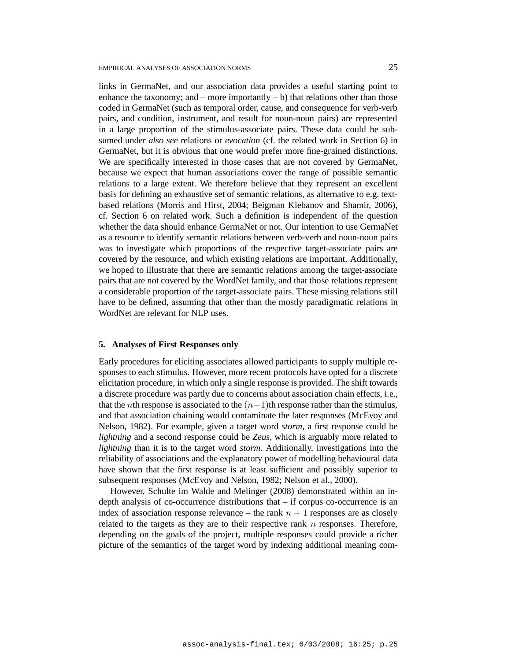links in GermaNet, and our association data provides a useful starting point to enhance the taxonomy; and – more importantly  $- b$ ) that relations other than those coded in GermaNet (such as temporal order, cause, and consequence for verb-verb pairs, and condition, instrument, and result for noun-noun pairs) are represented in a large proportion of the stimulus-associate pairs. These data could be subsumed under *also see* relations or *evocation* (cf. the related work in Section 6) in GermaNet, but it is obvious that one would prefer more fine-grained distinctions. We are specifically interested in those cases that are not covered by GermaNet, because we expect that human associations cover the range of possible semantic relations to a large extent. We therefore believe that they represent an excellent basis for defining an exhaustive set of semantic relations, as alternative to e.g. textbased relations (Morris and Hirst, 2004; Beigman Klebanov and Shamir, 2006), cf. Section 6 on related work. Such a definition is independent of the question whether the data should enhance GermaNet or not. Our intention to use GermaNet as a resource to identify semantic relations between verb-verb and noun-noun pairs was to investigate which proportions of the respective target-associate pairs are covered by the resource, and which existing relations are important. Additionally, we hoped to illustrate that there are semantic relations among the target-associate pairs that are not covered by the WordNet family, and that those relations represent a considerable proportion of the target-associate pairs. These missing relations still have to be defined, assuming that other than the mostly paradigmatic relations in WordNet are relevant for NLP uses.

## **5. Analyses of First Responses only**

Early procedures for eliciting associates allowed participants to supply multiple responses to each stimulus. However, more recent protocols have opted for a discrete elicitation procedure, in which only a single response is provided. The shift towards a discrete procedure was partly due to concerns about association chain effects, i.e., that the *n*th response is associated to the  $(n-1)$ th response rather than the stimulus, and that association chaining would contaminate the later responses (McEvoy and Nelson, 1982). For example, given a target word *storm*, a first response could be *lightning* and a second response could be *Zeus*, which is arguably more related to *lightning* than it is to the target word *storm*. Additionally, investigations into the reliability of associations and the explanatory power of modelling behavioural data have shown that the first response is at least sufficient and possibly superior to subsequent responses (McEvoy and Nelson, 1982; Nelson et al., 2000).

However, Schulte im Walde and Melinger (2008) demonstrated within an indepth analysis of co-occurrence distributions that – if corpus co-occurrence is an index of association response relevance – the rank  $n + 1$  responses are as closely related to the targets as they are to their respective rank  $n$  responses. Therefore, depending on the goals of the project, multiple responses could provide a richer picture of the semantics of the target word by indexing additional meaning com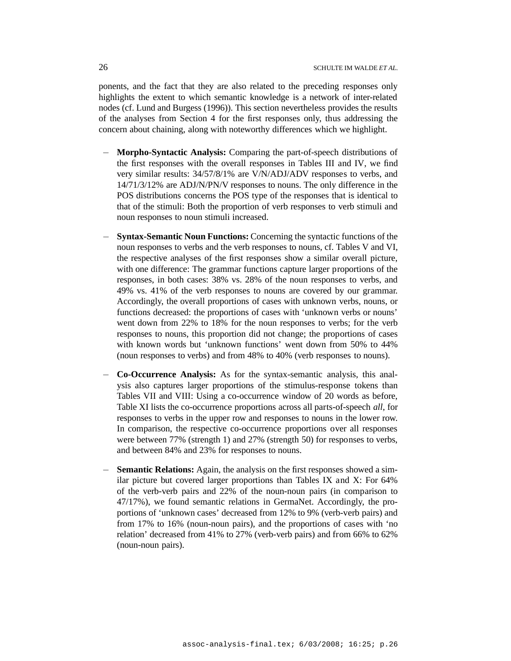ponents, and the fact that they are also related to the preceding responses only highlights the extent to which semantic knowledge is a network of inter-related nodes (cf. Lund and Burgess (1996)). This section nevertheless provides the results of the analyses from Section 4 for the first responses only, thus addressing the concern about chaining, along with noteworthy differences which we highlight.

- **Morpho-Syntactic Analysis:** Comparing the part-of-speech distributions of the first responses with the overall responses in Tables III and IV, we find very similar results: 34/57/8/1% are V/N/ADJ/ADV responses to verbs, and 14/71/3/12% are ADJ/N/PN/V responses to nouns. The only difference in the POS distributions concerns the POS type of the responses that is identical to that of the stimuli: Both the proportion of verb responses to verb stimuli and noun responses to noun stimuli increased.
- **Syntax-Semantic Noun Functions:** Concerning the syntactic functions of the noun responses to verbs and the verb responses to nouns, cf. Tables V and VI, the respective analyses of the first responses show a similar overall picture, with one difference: The grammar functions capture larger proportions of the responses, in both cases: 38% vs. 28% of the noun responses to verbs, and 49% vs. 41% of the verb responses to nouns are covered by our grammar. Accordingly, the overall proportions of cases with unknown verbs, nouns, or functions decreased: the proportions of cases with 'unknown verbs or nouns' went down from 22% to 18% for the noun responses to verbs; for the verb responses to nouns, this proportion did not change; the proportions of cases with known words but 'unknown functions' went down from 50% to 44% (noun responses to verbs) and from 48% to 40% (verb responses to nouns).
- − **Co-Occurrence Analysis:** As for the syntax-semantic analysis, this analysis also captures larger proportions of the stimulus-response tokens than Tables VII and VIII: Using a co-occurrence window of 20 words as before, Table XI lists the co-occurrence proportions across all parts-of-speech *all*, for responses to verbs in the upper row and responses to nouns in the lower row. In comparison, the respective co-occurrence proportions over all responses were between 77% (strength 1) and 27% (strength 50) for responses to verbs, and between 84% and 23% for responses to nouns.
- **Semantic Relations:** Again, the analysis on the first responses showed a similar picture but covered larger proportions than Tables IX and X: For 64% of the verb-verb pairs and 22% of the noun-noun pairs (in comparison to 47/17%), we found semantic relations in GermaNet. Accordingly, the proportions of 'unknown cases' decreased from 12% to 9% (verb-verb pairs) and from 17% to 16% (noun-noun pairs), and the proportions of cases with 'no relation' decreased from 41% to 27% (verb-verb pairs) and from 66% to 62% (noun-noun pairs).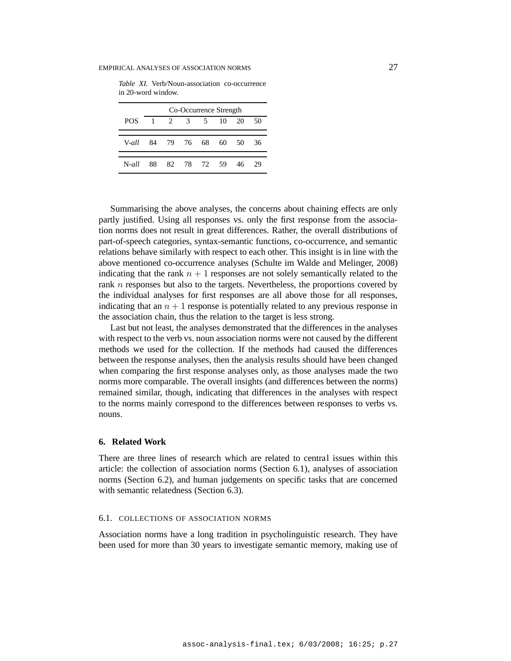*Table XI.* Verb/Noun-association co-occurrence in 20-word window.

|            | Co-Occurrence Strength |                |  |                                       |    |    |    |
|------------|------------------------|----------------|--|---------------------------------------|----|----|----|
| <b>POS</b> | $\overline{1}$         | $\overline{2}$ |  | $\begin{array}{cc} 3 & 5 \end{array}$ | 10 | 20 | 50 |
|            |                        |                |  |                                       |    |    |    |
| V-all      |                        |                |  | 84 79 76 68                           | 60 | 50 | 36 |
|            |                        |                |  |                                       |    |    |    |
| N-all      | 88.                    |                |  | 82 78 72 59                           |    | 46 | 29 |

Summarising the above analyses, the concerns about chaining effects are only partly justified. Using all responses vs. only the first response from the association norms does not result in great differences. Rather, the overall distributions of part-of-speech categories, syntax-semantic functions, co-occurrence, and semantic relations behave similarly with respect to each other. This insight is in line with the above mentioned co-occurrence analyses (Schulte im Walde and Melinger, 2008) indicating that the rank  $n + 1$  responses are not solely semantically related to the rank  $n$  responses but also to the targets. Nevertheless, the proportions covered by the individual analyses for first responses are all above those for all responses, indicating that an  $n + 1$  response is potentially related to any previous response in the association chain, thus the relation to the target is less strong.

Last but not least, the analyses demonstrated that the differences in the analyses with respect to the verb vs. noun association norms were not caused by the different methods we used for the collection. If the methods had caused the differences between the response analyses, then the analysis results should have been changed when comparing the first response analyses only, as those analyses made the two norms more comparable. The overall insights (and differences between the norms) remained similar, though, indicating that differences in the analyses with respect to the norms mainly correspond to the differences between responses to verbs vs. nouns.

# **6. Related Work**

There are three lines of research which are related to central issues within this article: the collection of association norms (Section 6.1), analyses of association norms (Section 6.2), and human judgements on specific tasks that are concerned with semantic relatedness (Section 6.3).

## 6.1. COLLECTIONS OF ASSOCIATION NORMS

Association norms have a long tradition in psycholinguistic research. They have been used for more than 30 years to investigate semantic memory, making use of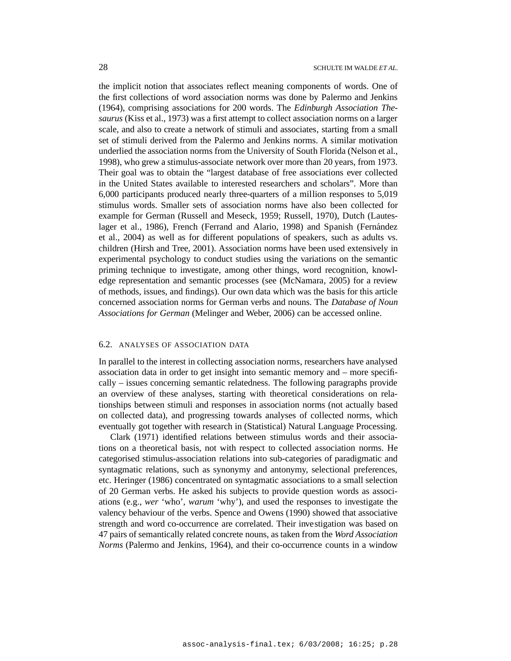the implicit notion that associates reflect meaning components of words. One of the first collections of word association norms was done by Palermo and Jenkins (1964), comprising associations for 200 words. The *Edinburgh Association Thesaurus* (Kiss et al., 1973) was a first attempt to collect association norms on a larger scale, and also to create a network of stimuli and associates, starting from a small set of stimuli derived from the Palermo and Jenkins norms. A similar motivation underlied the association norms from the University of South Florida (Nelson et al., 1998), who grew a stimulus-associate network over more than 20 years, from 1973. Their goal was to obtain the "largest database of free associations ever collected in the United States available to interested researchers and scholars". More than 6,000 participants produced nearly three-quarters of a million responses to 5,019 stimulus words. Smaller sets of association norms have also been collected for example for German (Russell and Meseck, 1959; Russell, 1970), Dutch (Lauteslager et al., 1986), French (Ferrand and Alario, 1998) and Spanish (Fernández et al., 2004) as well as for different populations of speakers, such as adults vs. children (Hirsh and Tree, 2001). Association norms have been used extensively in experimental psychology to conduct studies using the variations on the semantic priming technique to investigate, among other things, word recognition, knowledge representation and semantic processes (see (McNamara, 2005) for a review of methods, issues, and findings). Our own data which was the basis for this article concerned association norms for German verbs and nouns. The *Database of Noun Associations for German* (Melinger and Weber, 2006) can be accessed online.

# 6.2. ANALYSES OF ASSOCIATION DATA

In parallel to the interest in collecting association norms, researchers have analysed association data in order to get insight into semantic memory and – more specifically – issues concerning semantic relatedness. The following paragraphs provide an overview of these analyses, starting with theoretical considerations on relationships between stimuli and responses in association norms (not actually based on collected data), and progressing towards analyses of collected norms, which eventually got together with research in (Statistical) Natural Language Processing.

Clark (1971) identified relations between stimulus words and their associations on a theoretical basis, not with respect to collected association norms. He categorised stimulus-association relations into sub-categories of paradigmatic and syntagmatic relations, such as synonymy and antonymy, selectional preferences, etc. Heringer (1986) concentrated on syntagmatic associations to a small selection of 20 German verbs. He asked his subjects to provide question words as associations (e.g., *wer* 'who', *warum* 'why'), and used the responses to investigate the valency behaviour of the verbs. Spence and Owens (1990) showed that associative strength and word co-occurrence are correlated. Their investigation was based on 47 pairs of semantically related concrete nouns, as taken from the *Word Association Norms* (Palermo and Jenkins, 1964), and their co-occurrence counts in a window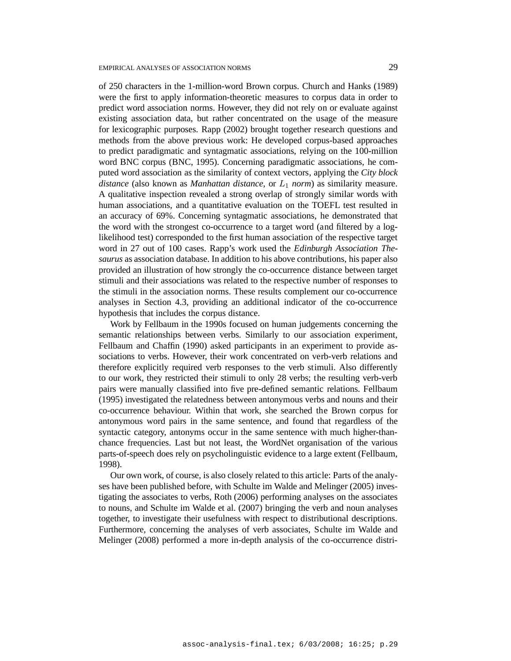of 250 characters in the 1-million-word Brown corpus. Church and Hanks (1989) were the first to apply information-theoretic measures to corpus data in order to predict word association norms. However, they did not rely on or evaluate against existing association data, but rather concentrated on the usage of the measure for lexicographic purposes. Rapp (2002) brought together research questions and methods from the above previous work: He developed corpus-based approaches to predict paradigmatic and syntagmatic associations, relying on the 100-million word BNC corpus (BNC, 1995). Concerning paradigmatic associations, he computed word association as the similarity of context vectors, applying the *City block distance* (also known as *Manhattan distance*, or  $L_1$  *norm*) as similarity measure. A qualitative inspection revealed a strong overlap of strongly similar words with human associations, and a quantitative evaluation on the TOEFL test resulted in an accuracy of 69%. Concerning syntagmatic associations, he demonstrated that the word with the strongest co-occurrence to a target word (and filtered by a loglikelihood test) corresponded to the first human association of the respective target word in 27 out of 100 cases. Rapp's work used the *Edinburgh Association Thesaurus* as association database. In addition to his above contributions, his paper also provided an illustration of how strongly the co-occurrence distance between target stimuli and their associations was related to the respective number of responses to the stimuli in the association norms. These results complement our co-occurrence analyses in Section 4.3, providing an additional indicator of the co-occurrence hypothesis that includes the corpus distance.

Work by Fellbaum in the 1990s focused on human judgements concerning the semantic relationships between verbs. Similarly to our association experiment, Fellbaum and Chaffin (1990) asked participants in an experiment to provide associations to verbs. However, their work concentrated on verb-verb relations and therefore explicitly required verb responses to the verb stimuli. Also differently to our work, they restricted their stimuli to only 28 verbs; the resulting verb-verb pairs were manually classified into five pre-defined semantic relations. Fellbaum (1995) investigated the relatedness between antonymous verbs and nouns and their co-occurrence behaviour. Within that work, she searched the Brown corpus for antonymous word pairs in the same sentence, and found that regardless of the syntactic category, antonyms occur in the same sentence with much higher-thanchance frequencies. Last but not least, the WordNet organisation of the various parts-of-speech does rely on psycholinguistic evidence to a large extent (Fellbaum, 1998).

Our own work, of course, is also closely related to this article: Parts of the analyses have been published before, with Schulte im Walde and Melinger (2005) investigating the associates to verbs, Roth (2006) performing analyses on the associates to nouns, and Schulte im Walde et al. (2007) bringing the verb and noun analyses together, to investigate their usefulness with respect to distributional descriptions. Furthermore, concerning the analyses of verb associates, Schulte im Walde and Melinger (2008) performed a more in-depth analysis of the co-occurrence distri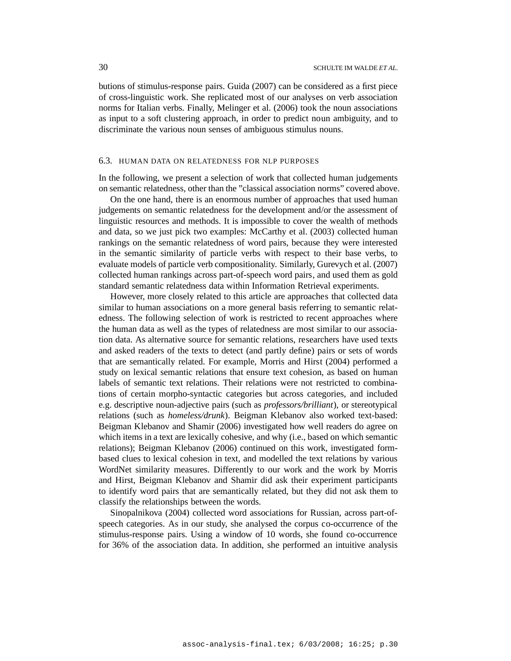butions of stimulus-response pairs. Guida (2007) can be considered as a first piece of cross-linguistic work. She replicated most of our analyses on verb association norms for Italian verbs. Finally, Melinger et al. (2006) took the noun associations as input to a soft clustering approach, in order to predict noun ambiguity, and to discriminate the various noun senses of ambiguous stimulus nouns.

## 6.3. HUMAN DATA ON RELATEDNESS FOR NLP PURPOSES

In the following, we present a selection of work that collected human judgements on semantic relatedness, other than the "classical association norms" covered above.

On the one hand, there is an enormous number of approaches that used human judgements on semantic relatedness for the development and/or the assessment of linguistic resources and methods. It is impossible to cover the wealth of methods and data, so we just pick two examples: McCarthy et al. (2003) collected human rankings on the semantic relatedness of word pairs, because they were interested in the semantic similarity of particle verbs with respect to their base verbs, to evaluate models of particle verb compositionality. Similarly, Gurevych et al. (2007) collected human rankings across part-of-speech word pairs, and used them as gold standard semantic relatedness data within Information Retrieval experiments.

However, more closely related to this article are approaches that collected data similar to human associations on a more general basis referring to semantic relatedness. The following selection of work is restricted to recent approaches where the human data as well as the types of relatedness are most similar to our association data. As alternative source for semantic relations, researchers have used texts and asked readers of the texts to detect (and partly define) pairs or sets of words that are semantically related. For example, Morris and Hirst (2004) performed a study on lexical semantic relations that ensure text cohesion, as based on human labels of semantic text relations. Their relations were not restricted to combinations of certain morpho-syntactic categories but across categories, and included e.g. descriptive noun-adjective pairs (such as *professors/brilliant*), or stereotypical relations (such as *homeless/drunk*). Beigman Klebanov also worked text-based: Beigman Klebanov and Shamir (2006) investigated how well readers do agree on which items in a text are lexically cohesive, and why (i.e., based on which semantic relations); Beigman Klebanov (2006) continued on this work, investigated formbased clues to lexical cohesion in text, and modelled the text relations by various WordNet similarity measures. Differently to our work and the work by Morris and Hirst, Beigman Klebanov and Shamir did ask their experiment participants to identify word pairs that are semantically related, but they did not ask them to classify the relationships between the words.

Sinopalnikova (2004) collected word associations for Russian, across part-ofspeech categories. As in our study, she analysed the corpus co-occurrence of the stimulus-response pairs. Using a window of 10 words, she found co-occurrence for 36% of the association data. In addition, she performed an intuitive analysis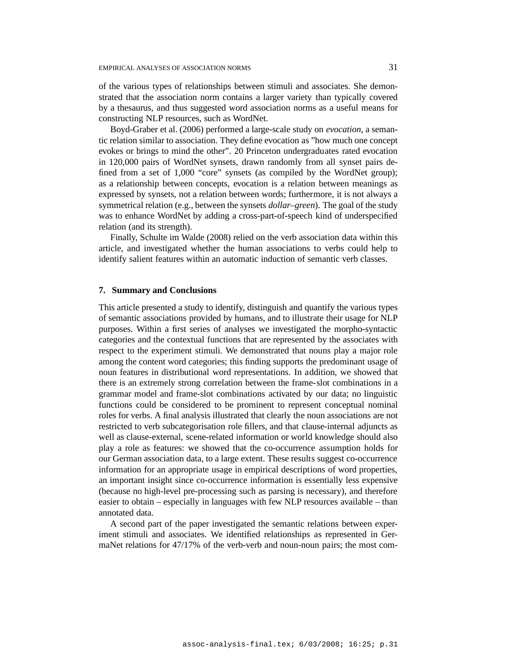of the various types of relationships between stimuli and associates. She demonstrated that the association norm contains a larger variety than typically covered by a thesaurus, and thus suggested word association norms as a useful means for constructing NLP resources, such as WordNet.

Boyd-Graber et al. (2006) performed a large-scale study on *evocation*, a semantic relation similar to association. They define evocation as "how much one concept evokes or brings to mind the other". 20 Princeton undergraduates rated evocation in 120,000 pairs of WordNet synsets, drawn randomly from all synset pairs defined from a set of 1,000 "core" synsets (as compiled by the WordNet group); as a relationship between concepts, evocation is a relation between meanings as expressed by synsets, not a relation between words; furthermore, it is not always a symmetrical relation (e.g., between the synsets *dollar–green*). The goal of the study was to enhance WordNet by adding a cross-part-of-speech kind of underspecified relation (and its strength).

Finally, Schulte im Walde (2008) relied on the verb association data within this article, and investigated whether the human associations to verbs could help to identify salient features within an automatic induction of semantic verb classes.

## **7. Summary and Conclusions**

This article presented a study to identify, distinguish and quantify the various types of semantic associations provided by humans, and to illustrate their usage for NLP purposes. Within a first series of analyses we investigated the morpho-syntactic categories and the contextual functions that are represented by the associates with respect to the experiment stimuli. We demonstrated that nouns play a major role among the content word categories; this finding supports the predominant usage of noun features in distributional word representations. In addition, we showed that there is an extremely strong correlation between the frame-slot combinations in a grammar model and frame-slot combinations activated by our data; no linguistic functions could be considered to be prominent to represent conceptual nominal roles for verbs. A final analysis illustrated that clearly the noun associations are not restricted to verb subcategorisation role fillers, and that clause-internal adjuncts as well as clause-external, scene-related information or world knowledge should also play a role as features: we showed that the co-occurrence assumption holds for our German association data, to a large extent. These results suggest co-occurrence information for an appropriate usage in empirical descriptions of word properties, an important insight since co-occurrence information is essentially less expensive (because no high-level pre-processing such as parsing is necessary), and therefore easier to obtain – especially in languages with few NLP resources available – than annotated data.

A second part of the paper investigated the semantic relations between experiment stimuli and associates. We identified relationships as represented in GermaNet relations for 47/17% of the verb-verb and noun-noun pairs; the most com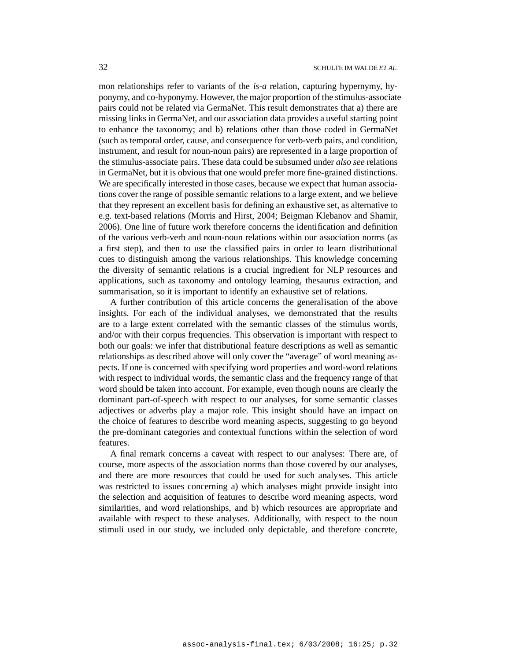mon relationships refer to variants of the *is-a* relation, capturing hypernymy, hyponymy, and co-hyponymy. However, the major proportion of the stimulus-associate pairs could not be related via GermaNet. This result demonstrates that a) there are missing links in GermaNet, and our association data provides a useful starting point to enhance the taxonomy; and b) relations other than those coded in GermaNet (such as temporal order, cause, and consequence for verb-verb pairs, and condition, instrument, and result for noun-noun pairs) are represented in a large proportion of the stimulus-associate pairs. These data could be subsumed under *also see* relations in GermaNet, but it is obvious that one would prefer more fine-grained distinctions. We are specifically interested in those cases, because we expect that human associations cover the range of possible semantic relations to a large extent, and we believe that they represent an excellent basis for defining an exhaustive set, as alternative to e.g. text-based relations (Morris and Hirst, 2004; Beigman Klebanov and Shamir, 2006). One line of future work therefore concerns the identification and definition of the various verb-verb and noun-noun relations within our association norms (as a first step), and then to use the classified pairs in order to learn distributional cues to distinguish among the various relationships. This knowledge concerning the diversity of semantic relations is a crucial ingredient for NLP resources and applications, such as taxonomy and ontology learning, thesaurus extraction, and summarisation, so it is important to identify an exhaustive set of relations.

A further contribution of this article concerns the generalisation of the above insights. For each of the individual analyses, we demonstrated that the results are to a large extent correlated with the semantic classes of the stimulus words, and/or with their corpus frequencies. This observation is important with respect to both our goals: we infer that distributional feature descriptions as well as semantic relationships as described above will only cover the "average" of word meaning aspects. If one is concerned with specifying word properties and word-word relations with respect to individual words, the semantic class and the frequency range of that word should be taken into account. For example, even though nouns are clearly the dominant part-of-speech with respect to our analyses, for some semantic classes adjectives or adverbs play a major role. This insight should have an impact on the choice of features to describe word meaning aspects, suggesting to go beyond the pre-dominant categories and contextual functions within the selection of word features.

A final remark concerns a caveat with respect to our analyses: There are, of course, more aspects of the association norms than those covered by our analyses, and there are more resources that could be used for such analyses. This article was restricted to issues concerning a) which analyses might provide insight into the selection and acquisition of features to describe word meaning aspects, word similarities, and word relationships, and b) which resources are appropriate and available with respect to these analyses. Additionally, with respect to the noun stimuli used in our study, we included only depictable, and therefore concrete,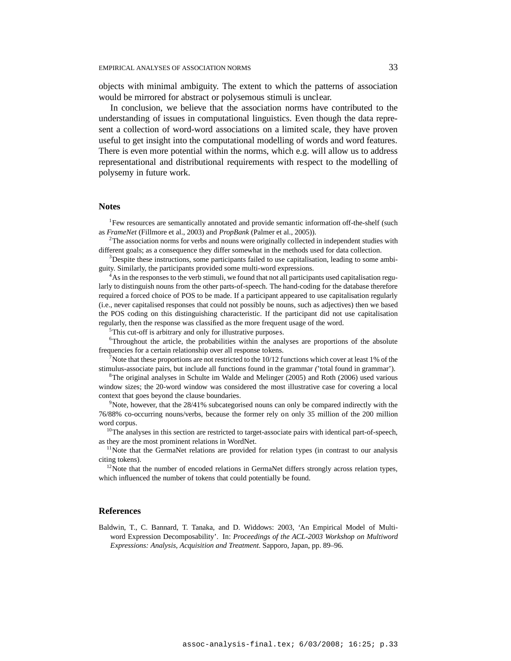objects with minimal ambiguity. The extent to which the patterns of association would be mirrored for abstract or polysemous stimuli is unclear.

In conclusion, we believe that the association norms have contributed to the understanding of issues in computational linguistics. Even though the data represent a collection of word-word associations on a limited scale, they have proven useful to get insight into the computational modelling of words and word features. There is even more potential within the norms, which e.g. will allow us to address representational and distributional requirements with respect to the modelling of polysemy in future work.

## **Notes**

<sup>1</sup>Few resources are semantically annotated and provide semantic information off-the-shelf (such as *FrameNet* (Fillmore et al., 2003) and *PropBank* (Palmer et al., 2005)).

 $2$ The association norms for verbs and nouns were originally collected in independent studies with different goals; as a consequence they differ somewhat in the methods used for data collection.

<sup>3</sup>Despite these instructions, some participants failed to use capitalisation, leading to some ambiguity. Similarly, the participants provided some multi-word expressions.

 $^{4}$ As in the responses to the verb stimuli, we found that not all participants used capitalisation regularly to distinguish nouns from the other parts-of-speech. The hand-coding for the database therefore required a forced choice of POS to be made. If a participant appeared to use capitalisation regularly (i.e., never capitalised responses that could not possibly be nouns, such as adjectives) then we based the POS coding on this distinguishing characteristic. If the participant did not use capitalisation regularly, then the response was classified as the more frequent usage of the word.

<sup>5</sup>This cut-off is arbitrary and only for illustrative purposes.

<sup>6</sup>Throughout the article, the probabilities within the analyses are proportions of the absolute frequencies for a certain relationship over all response tokens.

Note that these proportions are not restricted to the  $10/12$  functions which cover at least 1% of the stimulus-associate pairs, but include all functions found in the grammar *(*'total found in grammar').

 $8$ The original analyses in Schulte im Walde and Melinger (2005) and Roth (2006) used various window sizes; the 20-word window was considered the most illustrative case for covering a local context that goes beyond the clause boundaries.

 $9^9$ Note, however, that the 28/41% subcategorised nouns can only be compared indirectly with the 76/88% co-occurring nouns/verbs, because the former rely on only 35 million of the 200 million word corpus.

<sup>10</sup>The analyses in this section are restricted to target-associate pairs with identical part-of-speech, as they are the most prominent relations in WordNet.

 $11$ Note that the GermaNet relations are provided for relation types (in contrast to our analysis citing tokens).

 $12$ Note that the number of encoded relations in GermaNet differs strongly across relation types, which influenced the number of tokens that could potentially be found.

#### **References**

Baldwin, T., C. Bannard, T. Tanaka, and D. Widdows: 2003, 'An Empirical Model of Multiword Expression Decomposability'. In: *Proceedings of the ACL-2003 Workshop on Multiword Expressions: Analysis, Acquisition and Treatment*. Sapporo, Japan, pp. 89–96.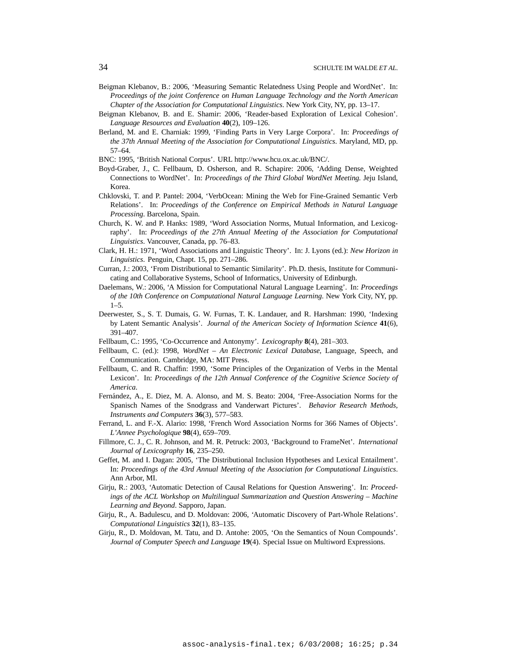- Beigman Klebanov, B.: 2006, 'Measuring Semantic Relatedness Using People and WordNet'. In: *Proceedings of the joint Conference on Human Language Technology and the North American Chapter of the Association for Computational Linguistics*. New York City, NY, pp. 13–17.
- Beigman Klebanov, B. and E. Shamir: 2006, 'Reader-based Exploration of Lexical Cohesion'. *Language Resources and Evaluation* **40**(2), 109–126.
- Berland, M. and E. Charniak: 1999, 'Finding Parts in Very Large Corpora'. In: *Proceedings of the 37th Annual Meeting of the Association for Computational Linguistics*. Maryland, MD, pp. 57–64.
- BNC: 1995, 'British National Corpus'. URL http://www.hcu.ox.ac.uk/BNC/.
- Boyd-Graber, J., C. Fellbaum, D. Osherson, and R. Schapire: 2006, 'Adding Dense, Weighted Connections to WordNet'. In: *Proceedings of the Third Global WordNet Meeting*. Jeju Island, Korea.
- Chklovski, T. and P. Pantel: 2004, 'VerbOcean: Mining the Web for Fine-Grained Semantic Verb Relations'. In: *Proceedings of the Conference on Empirical Methods in Natural Language Processing*. Barcelona, Spain.
- Church, K. W. and P. Hanks: 1989, 'Word Association Norms, Mutual Information, and Lexicography'. In: *Proceedings of the 27th Annual Meeting of the Association for Computational Linguistics*. Vancouver, Canada, pp. 76–83.
- Clark, H. H.: 1971, 'Word Associations and Linguistic Theory'. In: J. Lyons (ed.): *New Horizon in Linguistics*. Penguin, Chapt. 15, pp. 271–286.
- Curran, J.: 2003, 'From Distributional to Semantic Similarity'. Ph.D. thesis, Institute for Communicating and Collaborative Systems, School of Informatics, University of Edinburgh.
- Daelemans, W.: 2006, 'A Mission for Computational Natural Language Learning'. In: *Proceedings of the 10th Conference on Computational Natural Language Learning*. New York City, NY, pp. 1–5.
- Deerwester, S., S. T. Dumais, G. W. Furnas, T. K. Landauer, and R. Harshman: 1990, 'Indexing by Latent Semantic Analysis'. *Journal of the American Society of Information Science* **41**(6), 391–407.
- Fellbaum, C.: 1995, 'Co-Occurrence and Antonymy'. *Lexicography* **8**(4), 281–303.
- Fellbaum, C. (ed.): 1998, *WordNet An Electronic Lexical Database*, Language, Speech, and Communication. Cambridge, MA: MIT Press.
- Fellbaum, C. and R. Chaffin: 1990, 'Some Principles of the Organization of Verbs in the Mental Lexicon'. In: *Proceedings of the 12th Annual Conference of the Cognitive Science Society of America*.
- Fernández, A., E. Diez, M. A. Alonso, and M. S. Beato: 2004, 'Free-Association Norms for the Spanisch Names of the Snodgrass and Vanderwart Pictures'. *Behavior Research Methods, Instruments and Computers* **36**(3), 577–583.
- Ferrand, L. and F.-X. Alario: 1998, 'French Word Association Norms for 366 Names of Objects'. *L'Annee Psychologique* **98**(4), 659–709.
- Fillmore, C. J., C. R. Johnson, and M. R. Petruck: 2003, 'Background to FrameNet'. *International Journal of Lexicography* **16**, 235–250.
- Geffet, M. and I. Dagan: 2005, 'The Distributional Inclusion Hypotheses and Lexical Entailment'. In: *Proceedings of the 43rd Annual Meeting of the Association for Computational Linguistics*. Ann Arbor, MI.
- Girju, R.: 2003, 'Automatic Detection of Causal Relations for Question Answering'. In: *Proceedings of the ACL Workshop on Multilingual Summarization and Question Answering – Machine Learning and Beyond*. Sapporo, Japan.
- Girju, R., A. Badulescu, and D. Moldovan: 2006, 'Automatic Discovery of Part-Whole Relations'. *Computational Linguistics* **32**(1), 83–135.
- Girju, R., D. Moldovan, M. Tatu, and D. Antohe: 2005, 'On the Semantics of Noun Compounds'. *Journal of Computer Speech and Language* **19**(4). Special Issue on Multiword Expressions.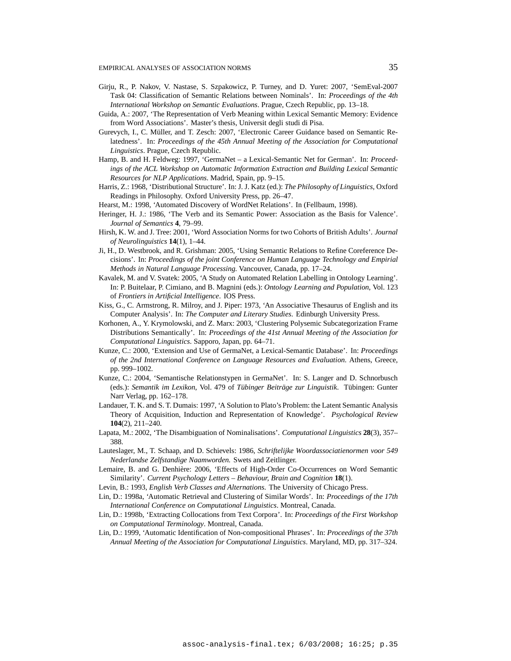- Girju, R., P. Nakov, V. Nastase, S. Szpakowicz, P. Turney, and D. Yuret: 2007, 'SemEval-2007 Task 04: Classification of Semantic Relations between Nominals'. In: *Proceedings of the 4th International Workshop on Semantic Evaluations*. Prague, Czech Republic, pp. 13–18.
- Guida, A.: 2007, 'The Representation of Verb Meaning within Lexical Semantic Memory: Evidence from Word Associations'. Master's thesis, Universit degli studi di Pisa.
- Gurevych, I., C. Müller, and T. Zesch: 2007, 'Electronic Career Guidance based on Semantic Relatedness'. In: *Proceedings of the 45th Annual Meeting of the Association for Computational Linguistics*. Prague, Czech Republic.
- Hamp, B. and H. Feldweg: 1997, 'GermaNet a Lexical-Semantic Net for German'. In: *Proceedings of the ACL Workshop on Automatic Information Extraction and Building Lexical Semantic Resources for NLP Applications*. Madrid, Spain, pp. 9–15.
- Harris, Z.: 1968, 'Distributional Structure'. In: J. J. Katz (ed.): *The Philosophy of Linguistics*, Oxford Readings in Philosophy. Oxford University Press, pp. 26–47.
- Hearst, M.: 1998, 'Automated Discovery of WordNet Relations'. In (Fellbaum, 1998).
- Heringer, H. J.: 1986, 'The Verb and its Semantic Power: Association as the Basis for Valence'. *Journal of Semantics* **4**, 79–99.
- Hirsh, K. W. and J. Tree: 2001, 'Word Association Norms for two Cohorts of British Adults'. *Journal of Neurolinguistics* **14**(1), 1–44.
- Ji, H., D. Westbrook, and R. Grishman: 2005, 'Using Semantic Relations to Refine Coreference Decisions'. In: *Proceedings of the joint Conference on Human Language Technology and Empirial Methods in Natural Language Processing*. Vancouver, Canada, pp. 17–24.
- Kavalek, M. and V. Svatek: 2005, 'A Study on Automated Relation Labelling in Ontology Learning'. In: P. Buitelaar, P. Cimiano, and B. Magnini (eds.): *Ontology Learning and Population*, Vol. 123 of *Frontiers in Artificial Intelligence*. IOS Press.
- Kiss, G., C. Armstrong, R. Milroy, and J. Piper: 1973, 'An Associative Thesaurus of English and its Computer Analysis'. In: *The Computer and Literary Studies*. Edinburgh University Press.
- Korhonen, A., Y. Krymolowski, and Z. Marx: 2003, 'Clustering Polysemic Subcategorization Frame Distributions Semantically'. In: *Proceedings of the 41st Annual Meeting of the Association for Computational Linguistics*. Sapporo, Japan, pp. 64–71.
- Kunze, C.: 2000, 'Extension and Use of GermaNet, a Lexical-Semantic Database'. In: *Proceedings of the 2nd International Conference on Language Resources and Evaluation*. Athens, Greece, pp. 999–1002.
- Kunze, C.: 2004, 'Semantische Relationstypen in GermaNet'. In: S. Langer and D. Schnorbusch (eds.): *Semantik im Lexikon*, Vol. 479 of *Tübinger Beiträge zur Linguistik*. Tübingen: Gunter Narr Verlag, pp. 162–178.
- Landauer, T. K. and S. T. Dumais: 1997, 'A Solution to Plato's Problem: the Latent Semantic Analysis Theory of Acquisition, Induction and Representation of Knowledge'. *Psychological Review* **104**(2), 211–240.
- Lapata, M.: 2002, 'The Disambiguation of Nominalisations'. *Computational Linguistics* **28**(3), 357– 388.
- Lauteslager, M., T. Schaap, and D. Schievels: 1986, *Schriftelijke Woordassociatienormen voor 549 Nederlandse Zelfstandige Naamworden*. Swets and Zeitlinger.
- Lemaire, B. and G. Denhière: 2006, 'Effects of High-Order Co-Occurrences on Word Semantic Similarity'. *Current Psychology Letters – Behaviour, Brain and Cognition* **18**(1).
- Levin, B.: 1993, *English Verb Classes and Alternations*. The University of Chicago Press.
- Lin, D.: 1998a, 'Automatic Retrieval and Clustering of Similar Words'. In: *Proceedings of the 17th International Conference on Computational Linguistics*. Montreal, Canada.
- Lin, D.: 1998b, 'Extracting Collocations from Text Corpora'. In: *Proceedings of the First Workshop on Computational Terminology*. Montreal, Canada.
- Lin, D.: 1999, 'Automatic Identification of Non-compositional Phrases'. In: *Proceedings of the 37th Annual Meeting of the Association for Computational Linguistics*. Maryland, MD, pp. 317–324.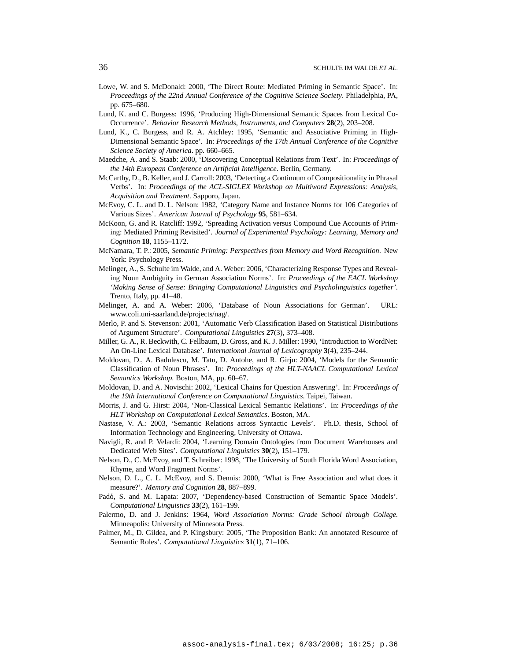- Lowe, W. and S. McDonald: 2000, 'The Direct Route: Mediated Priming in Semantic Space'. In: *Proceedings of the 22nd Annual Conference of the Cognitive Science Society*. Philadelphia, PA, pp. 675–680.
- Lund, K. and C. Burgess: 1996, 'Producing High-Dimensional Semantic Spaces from Lexical Co-Occurrence'. *Behavior Research Methods, Instruments, and Computers* **28**(2), 203–208.
- Lund, K., C. Burgess, and R. A. Atchley: 1995, 'Semantic and Associative Priming in High-Dimensional Semantic Space'. In: *Proceedings of the 17th Annual Conference of the Cognitive Science Society of America*. pp. 660–665.
- Maedche, A. and S. Staab: 2000, 'Discovering Conceptual Relations from Text'. In: *Proceedings of the 14th European Conference on Artificial Intelligence*. Berlin, Germany.
- McCarthy, D., B. Keller, and J. Carroll: 2003, 'Detecting a Continuum of Compositionality in Phrasal Verbs'. In: *Proceedings of the ACL-SIGLEX Workshop on Multiword Expressions: Analysis, Acquisition and Treatment*. Sapporo, Japan.
- McEvoy, C. L. and D. L. Nelson: 1982, 'Category Name and Instance Norms for 106 Categories of Various Sizes'. *American Journal of Psychology* **95**, 581–634.
- McKoon, G. and R. Ratcliff: 1992, 'Spreading Activation versus Compound Cue Accounts of Priming: Mediated Priming Revisited'. *Journal of Experimental Psychology: Learning, Memory and Cognition* **18**, 1155–1172.
- McNamara, T. P.: 2005, *Semantic Priming: Perspectives from Memory and Word Recognition*. New York: Psychology Press.
- Melinger, A., S. Schulte im Walde, and A. Weber: 2006, 'Characterizing Response Types and Revealing Noun Ambiguity in German Association Norms'. In: *Proceedings of the EACL Workshop 'Making Sense of Sense: Bringing Computational Linguistics and Psycholinguistics together'*. Trento, Italy, pp. 41–48.
- Melinger, A. and A. Weber: 2006, 'Database of Noun Associations for German'. URL: www.coli.uni-saarland.de/projects/nag/.
- Merlo, P. and S. Stevenson: 2001, 'Automatic Verb Classification Based on Statistical Distributions of Argument Structure'. *Computational Linguistics* **27**(3), 373–408.
- Miller, G. A., R. Beckwith, C. Fellbaum, D. Gross, and K. J. Miller: 1990, 'Introduction to WordNet: An On-Line Lexical Database'. *International Journal of Lexicography* **3**(4), 235–244.
- Moldovan, D., A. Badulescu, M. Tatu, D. Antohe, and R. Girju: 2004, 'Models for the Semantic Classification of Noun Phrases'. In: *Proceedings of the HLT-NAACL Computational Lexical Semantics Workshop*. Boston, MA, pp. 60–67.
- Moldovan, D. and A. Novischi: 2002, 'Lexical Chains for Question Answering'. In: *Proceedings of the 19th International Conference on Computational Linguistics*. Taipei, Taiwan.
- Morris, J. and G. Hirst: 2004, 'Non-Classical Lexical Semantic Relations'. In: *Proceedings of the HLT Workshop on Computational Lexical Semantics*. Boston, MA.
- Nastase, V. A.: 2003, 'Semantic Relations across Syntactic Levels'. Ph.D. thesis, School of Information Technology and Engineering, University of Ottawa.
- Navigli, R. and P. Velardi: 2004, 'Learning Domain Ontologies from Document Warehouses and Dedicated Web Sites'. *Computational Linguistics* **30**(2), 151–179.
- Nelson, D., C. McEvoy, and T. Schreiber: 1998, 'The University of South Florida Word Association, Rhyme, and Word Fragment Norms'.
- Nelson, D. L., C. L. McEvoy, and S. Dennis: 2000, 'What is Free Association and what does it measure?'. *Memory and Cognition* **28**, 887–899.
- Padó, S. and M. Lapata: 2007, 'Dependency-based Construction of Semantic Space Models'. *Computational Linguistics* **33**(2), 161–199.
- Palermo, D. and J. Jenkins: 1964, *Word Association Norms: Grade School through College*. Minneapolis: University of Minnesota Press.
- Palmer, M., D. Gildea, and P. Kingsbury: 2005, 'The Proposition Bank: An annotated Resource of Semantic Roles'. *Computational Linguistics* **31**(1), 71–106.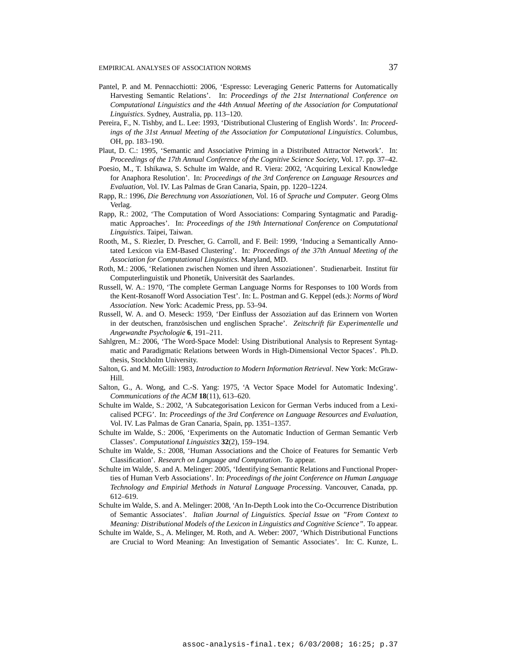- Pantel, P. and M. Pennacchiotti: 2006, 'Espresso: Leveraging Generic Patterns for Automatically Harvesting Semantic Relations'. In: *Proceedings of the 21st International Conference on Computational Linguistics and the 44th Annual Meeting of the Association for Computational Linguistics*. Sydney, Australia, pp. 113–120.
- Pereira, F., N. Tishby, and L. Lee: 1993, 'Distributional Clustering of English Words'. In: *Proceedings of the 31st Annual Meeting of the Association for Computational Linguistics*. Columbus, OH, pp. 183–190.
- Plaut, D. C.: 1995, 'Semantic and Associative Priming in a Distributed Attractor Network'. In: *Proceedings of the 17th Annual Conference of the Cognitive Science Society*, Vol. 17. pp. 37–42.
- Poesio, M., T. Ishikawa, S. Schulte im Walde, and R. Viera: 2002, 'Acquiring Lexical Knowledge for Anaphora Resolution'. In: *Proceedings of the 3rd Conference on Language Resources and Evaluation*, Vol. IV. Las Palmas de Gran Canaria, Spain, pp. 1220–1224.
- Rapp, R.: 1996, *Die Berechnung von Assoziationen*, Vol. 16 of *Sprache und Computer*. Georg Olms Verlag.
- Rapp, R.: 2002, 'The Computation of Word Associations: Comparing Syntagmatic and Paradigmatic Approaches'. In: *Proceedings of the 19th International Conference on Computational Linguistics*. Taipei, Taiwan.
- Rooth, M., S. Riezler, D. Prescher, G. Carroll, and F. Beil: 1999, 'Inducing a Semantically Annotated Lexicon via EM-Based Clustering'. In: *Proceedings of the 37th Annual Meeting of the Association for Computational Linguistics*. Maryland, MD.
- Roth, M.: 2006, 'Relationen zwischen Nomen und ihren Assoziationen'. Studienarbeit. Institut für Computerlinguistik und Phonetik, Universität des Saarlandes.
- Russell, W. A.: 1970, 'The complete German Language Norms for Responses to 100 Words from the Kent-Rosanoff Word Association Test'. In: L. Postman and G. Keppel (eds.): *Norms of Word Association*. New York: Academic Press, pp. 53–94.
- Russell, W. A. and O. Meseck: 1959, 'Der Einfluss der Assoziation auf das Erinnern von Worten in der deutschen, französischen und englischen Sprache'. Zeitschrift für Experimentelle und *Angewandte Psychologie* **6**, 191–211.
- Sahlgren, M.: 2006, 'The Word-Space Model: Using Distributional Analysis to Represent Syntagmatic and Paradigmatic Relations between Words in High-Dimensional Vector Spaces'. Ph.D. thesis, Stockholm University.
- Salton, G. and M. McGill: 1983, *Introduction to Modern Information Retrieval*. New York: McGraw-Hill.
- Salton, G., A. Wong, and C.-S. Yang: 1975, 'A Vector Space Model for Automatic Indexing'. *Communications of the ACM* **18**(11), 613–620.
- Schulte im Walde, S.: 2002, 'A Subcategorisation Lexicon for German Verbs induced from a Lexicalised PCFG'. In: *Proceedings of the 3rd Conference on Language Resources and Evaluation*, Vol. IV. Las Palmas de Gran Canaria, Spain, pp. 1351–1357.
- Schulte im Walde, S.: 2006, 'Experiments on the Automatic Induction of German Semantic Verb Classes'. *Computational Linguistics* **32**(2), 159–194.
- Schulte im Walde, S.: 2008, 'Human Associations and the Choice of Features for Semantic Verb Classification'. *Research on Language and Computation*. To appear.
- Schulte im Walde, S. and A. Melinger: 2005, 'Identifying Semantic Relations and Functional Properties of Human Verb Associations'. In: *Proceedings of the joint Conference on Human Language Technology and Empirial Methods in Natural Language Processing*. Vancouver, Canada, pp. 612–619.
- Schulte im Walde, S. and A. Melinger: 2008, 'An In-Depth Look into the Co-Occurrence Distribution of Semantic Associates'. *Italian Journal of Linguistics. Special Issue on "From Context to Meaning: Distributional Models of the Lexicon in Linguistics and Cognitive Science"*. To appear.
- Schulte im Walde, S., A. Melinger, M. Roth, and A. Weber: 2007, 'Which Distributional Functions are Crucial to Word Meaning: An Investigation of Semantic Associates'. In: C. Kunze, L.